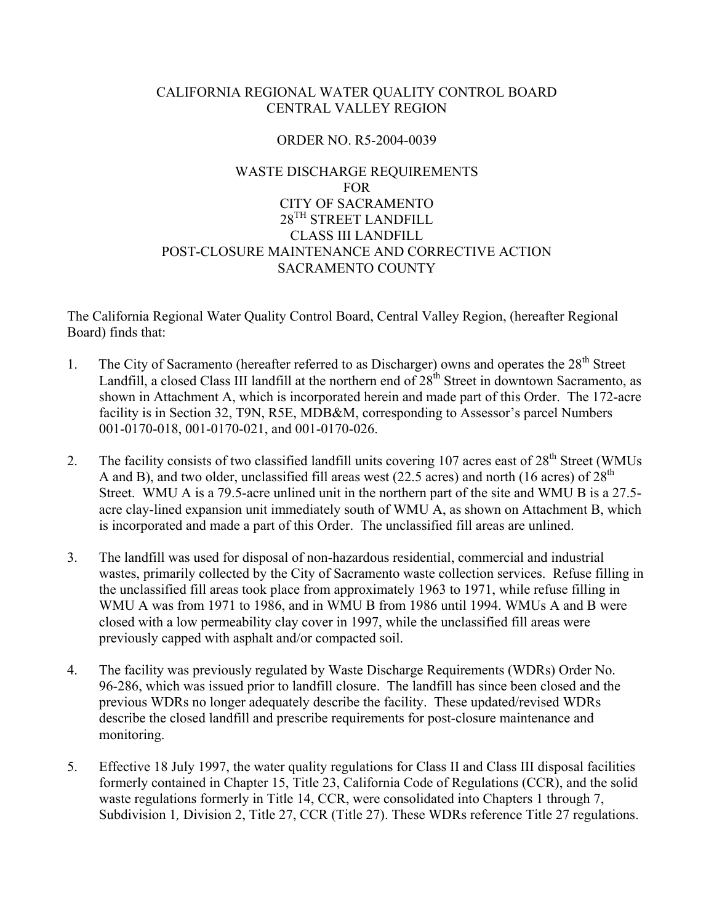### CALIFORNIA REGIONAL WATER QUALITY CONTROL BOARD CENTRAL VALLEY REGION

### ORDER NO. R5-2004-0039

# WASTE DISCHARGE REQUIREMENTS FOR CITY OF SACRAMENTO 28<sup>TH</sup> STREET LANDFILL CLASS III LANDFILL POST-CLOSURE MAINTENANCE AND CORRECTIVE ACTION SACRAMENTO COUNTY

The California Regional Water Quality Control Board, Central Valley Region, (hereafter Regional Board) finds that:

- 1. The City of Sacramento (hereafter referred to as Discharger) owns and operates the  $28<sup>th</sup>$  Street Landfill, a closed Class III landfill at the northern end of  $28<sup>th</sup>$  Street in downtown Sacramento, as shown in Attachment A, which is incorporated herein and made part of this Order. The 172-acre facility is in Section 32, T9N, R5E, MDB&M, corresponding to Assessor's parcel Numbers 001-0170-018, 001-0170-021, and 001-0170-026.
- 2. The facility consists of two classified landfill units covering 107 acres east of 28<sup>th</sup> Street (WMUs A and B), and two older, unclassified fill areas west (22.5 acres) and north (16 acres) of  $28<sup>th</sup>$ Street. WMU A is a 79.5-acre unlined unit in the northern part of the site and WMU B is a 27.5 acre clay-lined expansion unit immediately south of WMU A, as shown on Attachment B, which is incorporated and made a part of this Order. The unclassified fill areas are unlined.
- 3. The landfill was used for disposal of non-hazardous residential, commercial and industrial wastes, primarily collected by the City of Sacramento waste collection services. Refuse filling in the unclassified fill areas took place from approximately 1963 to 1971, while refuse filling in WMU A was from 1971 to 1986, and in WMU B from 1986 until 1994. WMUs A and B were closed with a low permeability clay cover in 1997, while the unclassified fill areas were previously capped with asphalt and/or compacted soil.
- 4. The facility was previously regulated by Waste Discharge Requirements (WDRs) Order No. 96-286, which was issued prior to landfill closure. The landfill has since been closed and the previous WDRs no longer adequately describe the facility. These updated/revised WDRs describe the closed landfill and prescribe requirements for post-closure maintenance and monitoring.
- 5. Effective 18 July 1997, the water quality regulations for Class II and Class III disposal facilities formerly contained in Chapter 15, Title 23, California Code of Regulations (CCR), and the solid waste regulations formerly in Title 14, CCR, were consolidated into Chapters 1 through 7, Subdivision 1, Division 2, Title 27, CCR (Title 27). These WDRs reference Title 27 regulations.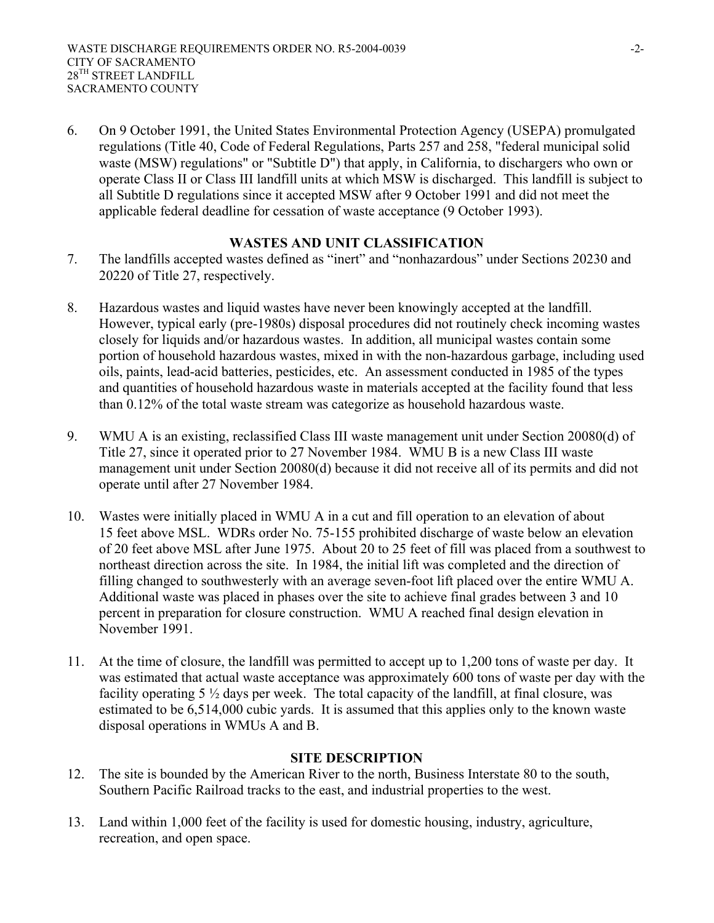6. On 9 October 1991, the United States Environmental Protection Agency (USEPA) promulgated regulations (Title 40, Code of Federal Regulations, Parts 257 and 258, "federal municipal solid waste (MSW) regulations" or "Subtitle D") that apply, in California, to dischargers who own or operate Class II or Class III landfill units at which MSW is discharged. This landfill is subject to all Subtitle D regulations since it accepted MSW after 9 October 1991 and did not meet the applicable federal deadline for cessation of waste acceptance (9 October 1993).

### **WASTES AND UNIT CLASSIFICATION**

- 7. The landfills accepted wastes defined as "inert" and "nonhazardous" under Sections 20230 and 20220 of Title 27, respectively.
- 8. Hazardous wastes and liquid wastes have never been knowingly accepted at the landfill. However, typical early (pre-1980s) disposal procedures did not routinely check incoming wastes closely for liquids and/or hazardous wastes. In addition, all municipal wastes contain some portion of household hazardous wastes, mixed in with the non-hazardous garbage, including used oils, paints, lead-acid batteries, pesticides, etc. An assessment conducted in 1985 of the types and quantities of household hazardous waste in materials accepted at the facility found that less than 0.12% of the total waste stream was categorize as household hazardous waste.
- 9. WMU A is an existing, reclassified Class III waste management unit under Section 20080(d) of Title 27, since it operated prior to 27 November 1984. WMU B is a new Class III waste management unit under Section 20080(d) because it did not receive all of its permits and did not operate until after 27 November 1984.
- 10. Wastes were initially placed in WMU A in a cut and fill operation to an elevation of about 15 feet above MSL. WDRs order No. 75-155 prohibited discharge of waste below an elevation of 20 feet above MSL after June 1975. About 20 to 25 feet of fill was placed from a southwest to northeast direction across the site. In 1984, the initial lift was completed and the direction of filling changed to southwesterly with an average seven-foot lift placed over the entire WMU A. Additional waste was placed in phases over the site to achieve final grades between 3 and 10 percent in preparation for closure construction. WMU A reached final design elevation in November 1991.
- 11. At the time of closure, the landfill was permitted to accept up to 1,200 tons of waste per day. It was estimated that actual waste acceptance was approximately 600 tons of waste per day with the facility operating  $5\frac{1}{2}$  days per week. The total capacity of the landfill, at final closure, was estimated to be 6,514,000 cubic yards. It is assumed that this applies only to the known waste disposal operations in WMUs A and B.

#### **SITE DESCRIPTION**

- 12. The site is bounded by the American River to the north, Business Interstate 80 to the south, Southern Pacific Railroad tracks to the east, and industrial properties to the west.
- 13. Land within 1,000 feet of the facility is used for domestic housing, industry, agriculture, recreation, and open space.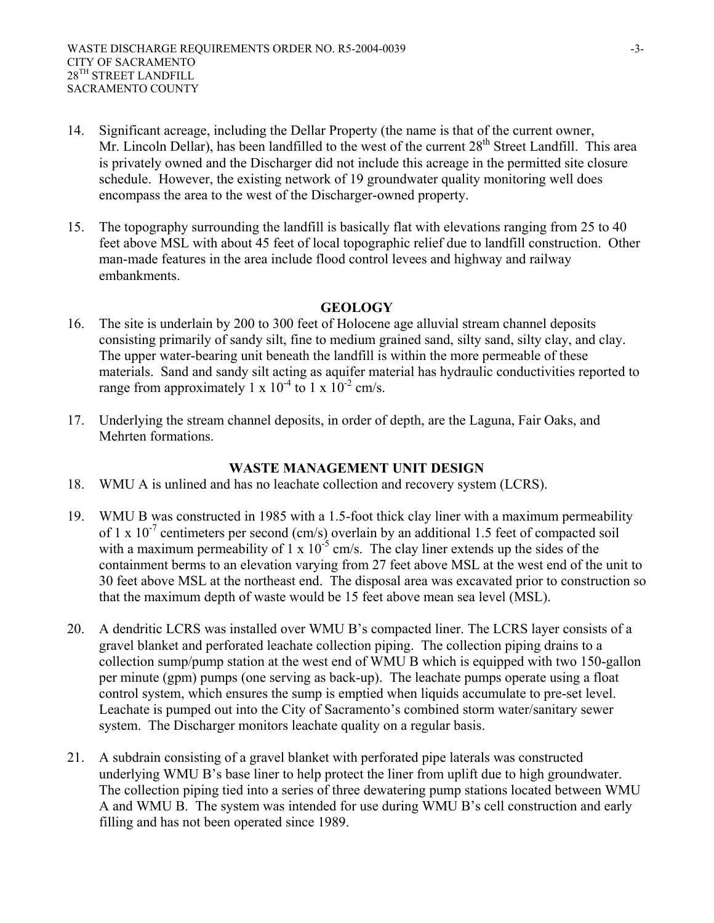- 14. Significant acreage, including the Dellar Property (the name is that of the current owner, Mr. Lincoln Dellar), has been landfilled to the west of the current 28<sup>th</sup> Street Landfill. This area is privately owned and the Discharger did not include this acreage in the permitted site closure schedule. However, the existing network of 19 groundwater quality monitoring well does encompass the area to the west of the Discharger-owned property.
- 15. The topography surrounding the landfill is basically flat with elevations ranging from 25 to 40 feet above MSL with about 45 feet of local topographic relief due to landfill construction. Other man-made features in the area include flood control levees and highway and railway embankments.

#### **GEOLOGY**

- 16. The site is underlain by 200 to 300 feet of Holocene age alluvial stream channel deposits consisting primarily of sandy silt, fine to medium grained sand, silty sand, silty clay, and clay. The upper water-bearing unit beneath the landfill is within the more permeable of these materials. Sand and sandy silt acting as aquifer material has hydraulic conductivities reported to range from approximately 1 x  $10^{-4}$  to 1 x  $10^{-2}$  cm/s.
- 17. Underlying the stream channel deposits, in order of depth, are the Laguna, Fair Oaks, and Mehrten formations.

#### **WASTE MANAGEMENT UNIT DESIGN**

- 18. WMU A is unlined and has no leachate collection and recovery system (LCRS).
- 19. WMU B was constructed in 1985 with a 1.5-foot thick clay liner with a maximum permeability of 1 x  $10^{-7}$  centimeters per second (cm/s) overlain by an additional 1.5 feet of compacted soil with a maximum permeability of  $1 \times 10^{-5}$  cm/s. The clay liner extends up the sides of the containment berms to an elevation varying from 27 feet above MSL at the west end of the unit to 30 feet above MSL at the northeast end. The disposal area was excavated prior to construction so that the maximum depth of waste would be 15 feet above mean sea level (MSL).
- 20. A dendritic LCRS was installed over WMU B's compacted liner. The LCRS layer consists of a gravel blanket and perforated leachate collection piping. The collection piping drains to a collection sump/pump station at the west end of WMU B which is equipped with two 150-gallon per minute (gpm) pumps (one serving as back-up). The leachate pumps operate using a float control system, which ensures the sump is emptied when liquids accumulate to pre-set level. Leachate is pumped out into the City of Sacramento's combined storm water/sanitary sewer system. The Discharger monitors leachate quality on a regular basis.
- 21. A subdrain consisting of a gravel blanket with perforated pipe laterals was constructed underlying WMU B's base liner to help protect the liner from uplift due to high groundwater. The collection piping tied into a series of three dewatering pump stations located between WMU A and WMU B. The system was intended for use during WMU B's cell construction and early filling and has not been operated since 1989.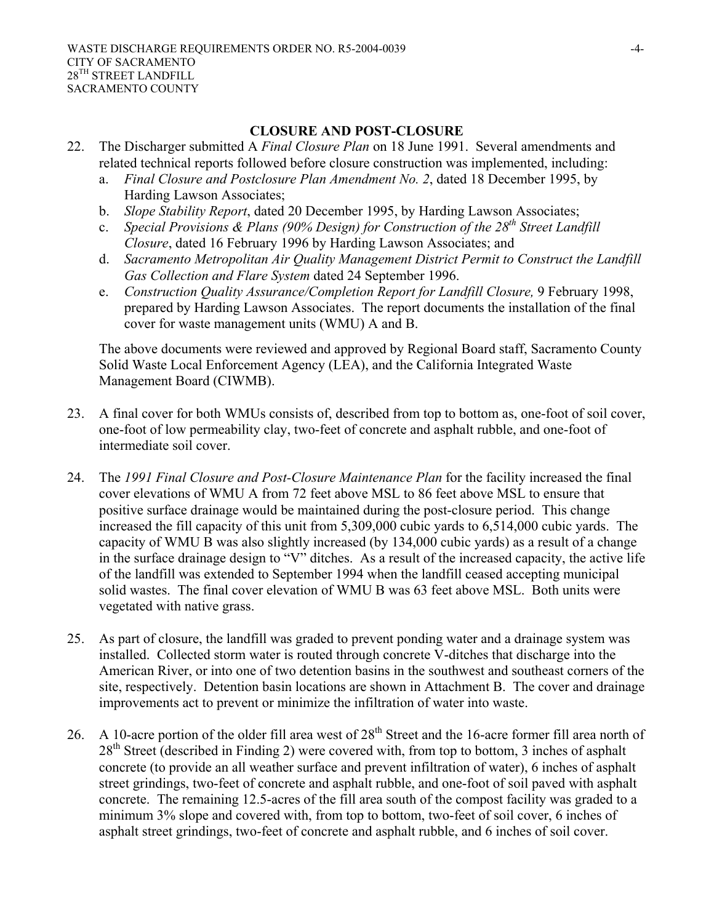#### **CLOSURE AND POST-CLOSURE**

- 22. The Discharger submitted A *Final Closure Plan* on 18 June 1991. Several amendments and related technical reports followed before closure construction was implemented, including:
	- a. *Final Closure and Postclosure Plan Amendment No. 2*, dated 18 December 1995, by Harding Lawson Associates;
	- b. *Slope Stability Report*, dated 20 December 1995, by Harding Lawson Associates;
	- c. *Special Provisions & Plans (90% Design) for Construction of the 28th Street Landfill Closure*, dated 16 February 1996 by Harding Lawson Associates; and
	- d. *Sacramento Metropolitan Air Quality Management District Permit to Construct the Landfill Gas Collection and Flare System* dated 24 September 1996.
	- e. *Construction Quality Assurance/Completion Report for Landfill Closure,* 9 February 1998, prepared by Harding Lawson Associates. The report documents the installation of the final cover for waste management units (WMU) A and B.

The above documents were reviewed and approved by Regional Board staff, Sacramento County Solid Waste Local Enforcement Agency (LEA), and the California Integrated Waste Management Board (CIWMB).

- 23. A final cover for both WMUs consists of, described from top to bottom as, one-foot of soil cover, one-foot of low permeability clay, two-feet of concrete and asphalt rubble, and one-foot of intermediate soil cover.
- 24. The *1991 Final Closure and Post-Closure Maintenance Plan* for the facility increased the final cover elevations of WMU A from 72 feet above MSL to 86 feet above MSL to ensure that positive surface drainage would be maintained during the post-closure period. This change increased the fill capacity of this unit from 5,309,000 cubic yards to 6,514,000 cubic yards. The capacity of WMU B was also slightly increased (by 134,000 cubic yards) as a result of a change in the surface drainage design to "V" ditches. As a result of the increased capacity, the active life of the landfill was extended to September 1994 when the landfill ceased accepting municipal solid wastes. The final cover elevation of WMU B was 63 feet above MSL. Both units were vegetated with native grass.
- 25. As part of closure, the landfill was graded to prevent ponding water and a drainage system was installed. Collected storm water is routed through concrete V-ditches that discharge into the American River, or into one of two detention basins in the southwest and southeast corners of the site, respectively. Detention basin locations are shown in Attachment B. The cover and drainage improvements act to prevent or minimize the infiltration of water into waste.
- 26. A 10-acre portion of the older fill area west of 28<sup>th</sup> Street and the 16-acre former fill area north of 28<sup>th</sup> Street (described in Finding 2) were covered with, from top to bottom, 3 inches of asphalt concrete (to provide an all weather surface and prevent infiltration of water), 6 inches of asphalt street grindings, two-feet of concrete and asphalt rubble, and one-foot of soil paved with asphalt concrete. The remaining 12.5-acres of the fill area south of the compost facility was graded to a minimum 3% slope and covered with, from top to bottom, two-feet of soil cover, 6 inches of asphalt street grindings, two-feet of concrete and asphalt rubble, and 6 inches of soil cover.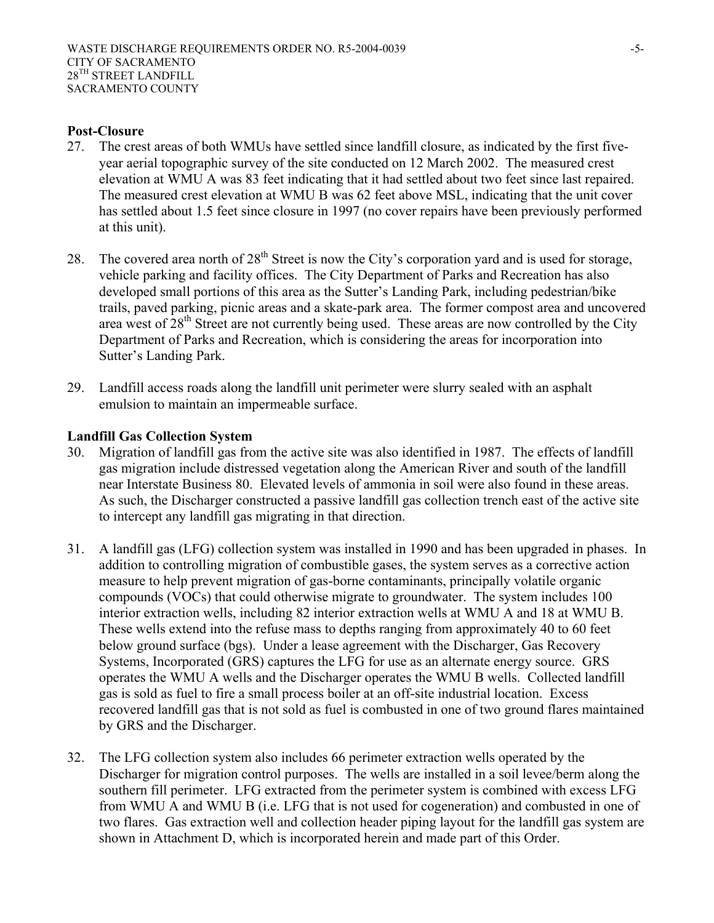#### **Post-Closure**

- 27. The crest areas of both WMUs have settled since landfill closure, as indicated by the first fiveyear aerial topographic survey of the site conducted on 12 March 2002. The measured crest elevation at WMU A was 83 feet indicating that it had settled about two feet since last repaired. The measured crest elevation at WMU B was 62 feet above MSL, indicating that the unit cover has settled about 1.5 feet since closure in 1997 (no cover repairs have been previously performed at this unit).
- 28. The covered area north of  $28<sup>th</sup>$  Street is now the City's corporation yard and is used for storage, vehicle parking and facility offices. The City Department of Parks and Recreation has also developed small portions of this area as the Sutter's Landing Park, including pedestrian/bike trails, paved parking, picnic areas and a skate-park area. The former compost area and uncovered area west of 28<sup>th</sup> Street are not currently being used. These areas are now controlled by the City Department of Parks and Recreation, which is considering the areas for incorporation into Sutter's Landing Park.
- 29. Landfill access roads along the landfill unit perimeter were slurry sealed with an asphalt emulsion to maintain an impermeable surface.

#### **Landfill Gas Collection System**

- 30. Migration of landfill gas from the active site was also identified in 1987. The effects of landfill gas migration include distressed vegetation along the American River and south of the landfill near Interstate Business 80. Elevated levels of ammonia in soil were also found in these areas. As such, the Discharger constructed a passive landfill gas collection trench east of the active site to intercept any landfill gas migrating in that direction.
- 31. A landfill gas (LFG) collection system was installed in 1990 and has been upgraded in phases. In addition to controlling migration of combustible gases, the system serves as a corrective action measure to help prevent migration of gas-borne contaminants, principally volatile organic compounds (VOCs) that could otherwise migrate to groundwater. The system includes 100 interior extraction wells, including 82 interior extraction wells at WMU A and 18 at WMU B. These wells extend into the refuse mass to depths ranging from approximately 40 to 60 feet below ground surface (bgs). Under a lease agreement with the Discharger, Gas Recovery Systems, Incorporated (GRS) captures the LFG for use as an alternate energy source. GRS operates the WMU A wells and the Discharger operates the WMU B wells. Collected landfill gas is sold as fuel to fire a small process boiler at an off-site industrial location. Excess recovered landfill gas that is not sold as fuel is combusted in one of two ground flares maintained by GRS and the Discharger.
- 32. The LFG collection system also includes 66 perimeter extraction wells operated by the Discharger for migration control purposes. The wells are installed in a soil levee/berm along the southern fill perimeter. LFG extracted from the perimeter system is combined with excess LFG from WMU A and WMU B (i.e. LFG that is not used for cogeneration) and combusted in one of two flares. Gas extraction well and collection header piping layout for the landfill gas system are shown in Attachment D, which is incorporated herein and made part of this Order.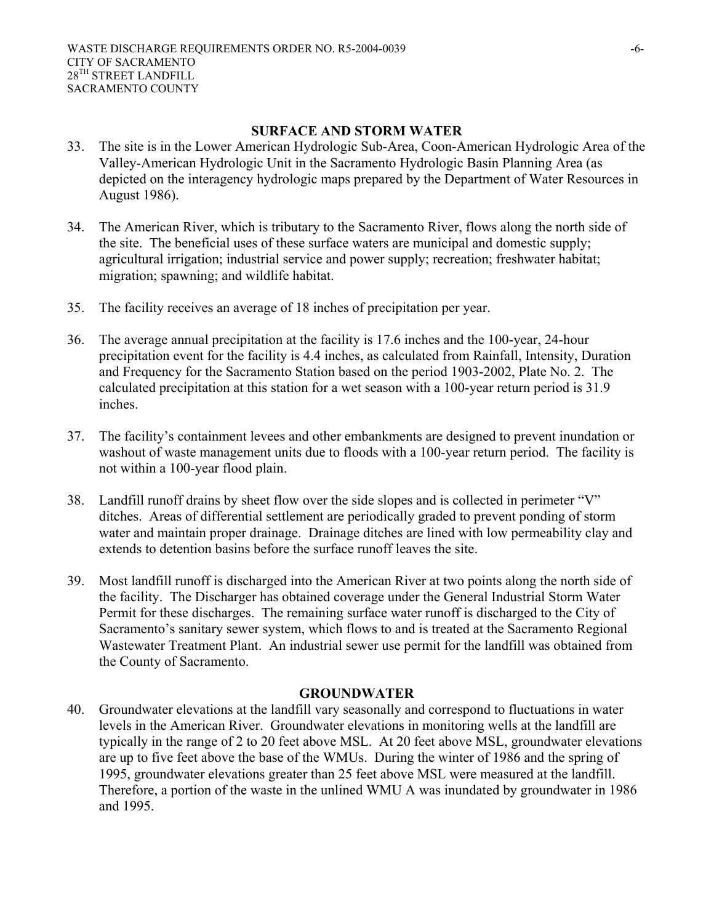#### **SURFACE AND STORM WATER**

- 33. The site is in the Lower American Hydrologic Sub-Area, Coon-American Hydrologic Area of the Valley-American Hydrologic Unit in the Sacramento Hydrologic Basin Planning Area (as depicted on the interagency hydrologic maps prepared by the Department of Water Resources in August 1986).
- 34. The American River, which is tributary to the Sacramento River, flows along the north side of the site. The beneficial uses of these surface waters are municipal and domestic supply; agricultural irrigation; industrial service and power supply; recreation; freshwater habitat; migration; spawning; and wildlife habitat.
- 35. The facility receives an average of 18 inches of precipitation per year.
- 36. The average annual precipitation at the facility is 17.6 inches and the 100-year, 24-hour precipitation event for the facility is 4.4 inches, as calculated from Rainfall, Intensity, Duration and Frequency for the Sacramento Station based on the period 1903-2002, Plate No. 2. The calculated precipitation at this station for a wet season with a 100-year return period is 31.9 inches.
- 37. The facility's containment levees and other embankments are designed to prevent inundation or washout of waste management units due to floods with a 100-year return period. The facility is not within a 100-year flood plain.
- 38. Landfill runoff drains by sheet flow over the side slopes and is collected in perimeter "V" ditches. Areas of differential settlement are periodically graded to prevent ponding of storm water and maintain proper drainage. Drainage ditches are lined with low permeability clay and extends to detention basins before the surface runoff leaves the site.
- 39. Most landfill runoff is discharged into the American River at two points along the north side of the facility. The Discharger has obtained coverage under the General Industrial Storm Water Permit for these discharges. The remaining surface water runoff is discharged to the City of Sacramento's sanitary sewer system, which flows to and is treated at the Sacramento Regional Wastewater Treatment Plant. An industrial sewer use permit for the landfill was obtained from the County of Sacramento.

#### **GROUNDWATER**

40. Groundwater elevations at the landfill vary seasonally and correspond to fluctuations in water levels in the American River. Groundwater elevations in monitoring wells at the landfill are typically in the range of 2 to 20 feet above MSL. At 20 feet above MSL, groundwater elevations are up to five feet above the base of the WMUs. During the winter of 1986 and the spring of 1995, groundwater elevations greater than 25 feet above MSL were measured at the landfill. Therefore, a portion of the waste in the unlined WMU A was inundated by groundwater in 1986 and 1995.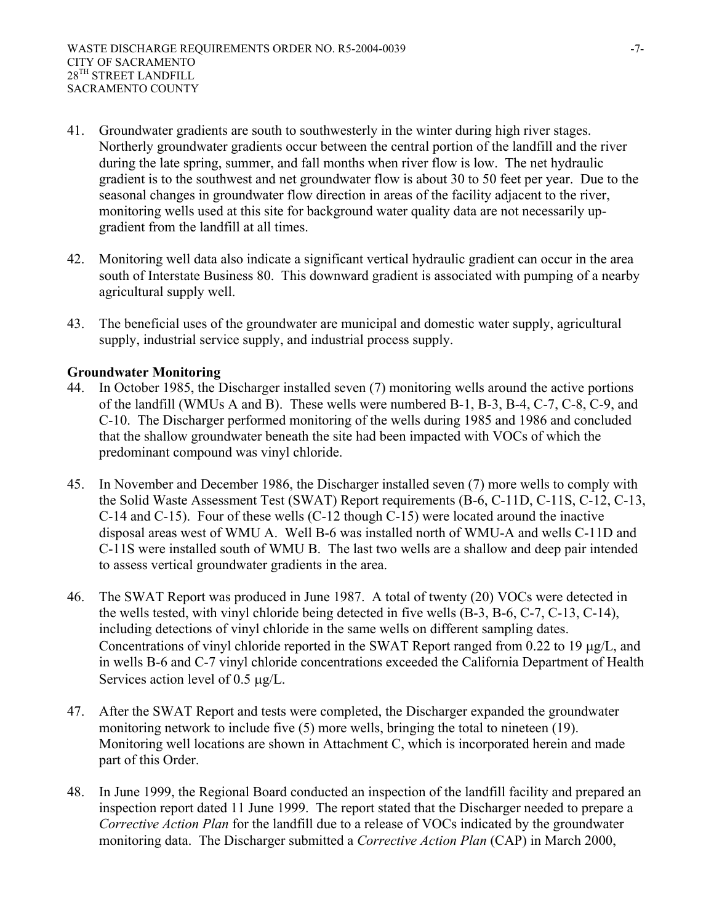- 41. Groundwater gradients are south to southwesterly in the winter during high river stages. Northerly groundwater gradients occur between the central portion of the landfill and the river during the late spring, summer, and fall months when river flow is low. The net hydraulic gradient is to the southwest and net groundwater flow is about 30 to 50 feet per year. Due to the seasonal changes in groundwater flow direction in areas of the facility adjacent to the river, monitoring wells used at this site for background water quality data are not necessarily upgradient from the landfill at all times.
- 42. Monitoring well data also indicate a significant vertical hydraulic gradient can occur in the area south of Interstate Business 80. This downward gradient is associated with pumping of a nearby agricultural supply well.
- 43. The beneficial uses of the groundwater are municipal and domestic water supply, agricultural supply, industrial service supply, and industrial process supply.

#### **Groundwater Monitoring**

- 44. In October 1985, the Discharger installed seven (7) monitoring wells around the active portions of the landfill (WMUs A and B). These wells were numbered B-1, B-3, B-4, C-7, C-8, C-9, and C-10. The Discharger performed monitoring of the wells during 1985 and 1986 and concluded that the shallow groundwater beneath the site had been impacted with VOCs of which the predominant compound was vinyl chloride.
- 45. In November and December 1986, the Discharger installed seven (7) more wells to comply with the Solid Waste Assessment Test (SWAT) Report requirements (B-6, C-11D, C-11S, C-12, C-13, C-14 and C-15). Four of these wells (C-12 though C-15) were located around the inactive disposal areas west of WMU A. Well B-6 was installed north of WMU-A and wells C-11D and C-11S were installed south of WMU B. The last two wells are a shallow and deep pair intended to assess vertical groundwater gradients in the area.
- 46. The SWAT Report was produced in June 1987. A total of twenty (20) VOCs were detected in the wells tested, with vinyl chloride being detected in five wells (B-3, B-6, C-7, C-13, C-14), including detections of vinyl chloride in the same wells on different sampling dates. Concentrations of vinyl chloride reported in the SWAT Report ranged from 0.22 to 19 µg/L, and in wells B-6 and C-7 vinyl chloride concentrations exceeded the California Department of Health Services action level of  $0.5 \mu g/L$ .
- 47. After the SWAT Report and tests were completed, the Discharger expanded the groundwater monitoring network to include five (5) more wells, bringing the total to nineteen (19). Monitoring well locations are shown in Attachment C, which is incorporated herein and made part of this Order.
- 48. In June 1999, the Regional Board conducted an inspection of the landfill facility and prepared an inspection report dated 11 June 1999. The report stated that the Discharger needed to prepare a *Corrective Action Plan* for the landfill due to a release of VOCs indicated by the groundwater monitoring data. The Discharger submitted a *Corrective Action Plan* (CAP) in March 2000,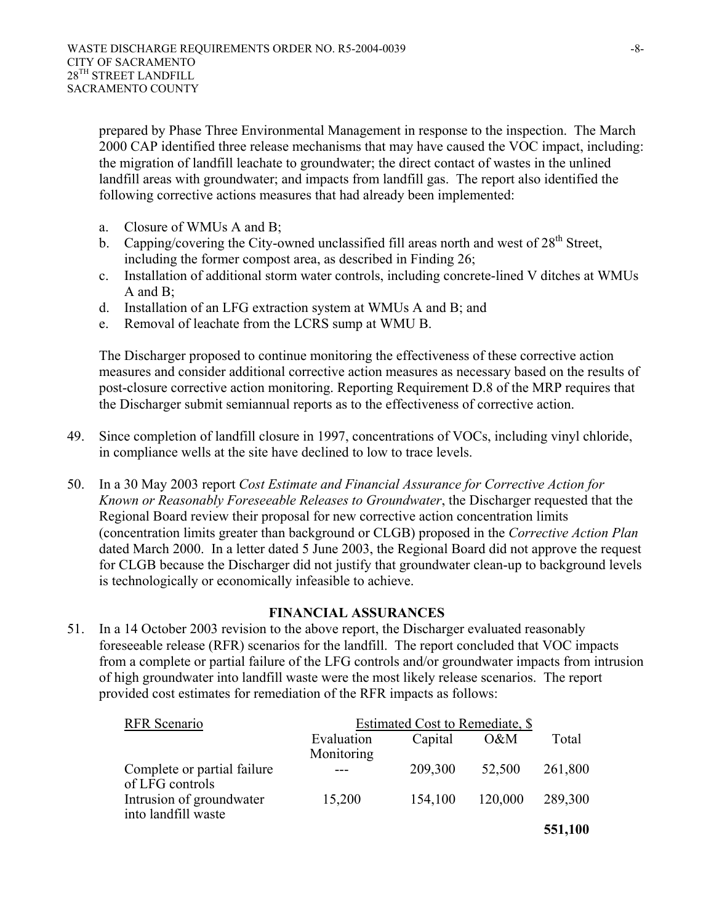prepared by Phase Three Environmental Management in response to the inspection. The March 2000 CAP identified three release mechanisms that may have caused the VOC impact, including: the migration of landfill leachate to groundwater; the direct contact of wastes in the unlined landfill areas with groundwater; and impacts from landfill gas. The report also identified the following corrective actions measures that had already been implemented:

- a. Closure of WMUs A and B;
- b. Capping/covering the City-owned unclassified fill areas north and west of  $28<sup>th</sup>$  Street, including the former compost area, as described in Finding 26;
- c. Installation of additional storm water controls, including concrete-lined V ditches at WMUs A and B;
- d. Installation of an LFG extraction system at WMUs A and B; and
- e. Removal of leachate from the LCRS sump at WMU B.

The Discharger proposed to continue monitoring the effectiveness of these corrective action measures and consider additional corrective action measures as necessary based on the results of post-closure corrective action monitoring. Reporting Requirement D.8 of the MRP requires that the Discharger submit semiannual reports as to the effectiveness of corrective action.

- 49. Since completion of landfill closure in 1997, concentrations of VOCs, including vinyl chloride, in compliance wells at the site have declined to low to trace levels.
- 50. In a 30 May 2003 report *Cost Estimate and Financial Assurance for Corrective Action for Known or Reasonably Foreseeable Releases to Groundwater*, the Discharger requested that the Regional Board review their proposal for new corrective action concentration limits (concentration limits greater than background or CLGB) proposed in the *Corrective Action Plan* dated March 2000. In a letter dated 5 June 2003, the Regional Board did not approve the request for CLGB because the Discharger did not justify that groundwater clean-up to background levels is technologically or economically infeasible to achieve.

#### **FINANCIAL ASSURANCES**

51. In a 14 October 2003 revision to the above report, the Discharger evaluated reasonably foreseeable release (RFR) scenarios for the landfill. The report concluded that VOC impacts from a complete or partial failure of the LFG controls and/or groundwater impacts from intrusion of high groundwater into landfill waste were the most likely release scenarios. The report provided cost estimates for remediation of the RFR impacts as follows:

| <b>RFR</b> Scenario                             | Estimated Cost to Remediate, \$ |         |         |         |
|-------------------------------------------------|---------------------------------|---------|---------|---------|
|                                                 | Evaluation                      | Capital | $0\&M$  | Total   |
|                                                 | Monitoring                      |         |         |         |
| Complete or partial failure<br>of LFG controls  |                                 | 209,300 | 52,500  | 261,800 |
| Intrusion of groundwater<br>into landfill waste | 15,200                          | 154,100 | 120,000 | 289,300 |
|                                                 |                                 |         |         | 551,100 |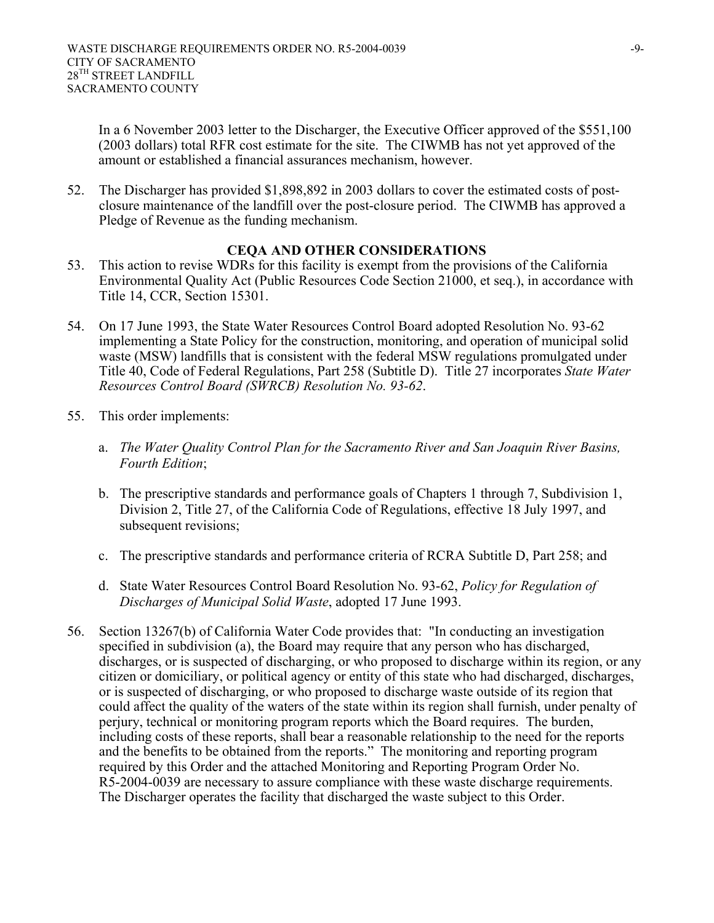In a 6 November 2003 letter to the Discharger, the Executive Officer approved of the \$551,100 (2003 dollars) total RFR cost estimate for the site. The CIWMB has not yet approved of the amount or established a financial assurances mechanism, however.

52. The Discharger has provided \$1,898,892 in 2003 dollars to cover the estimated costs of postclosure maintenance of the landfill over the post-closure period. The CIWMB has approved a Pledge of Revenue as the funding mechanism.

#### **CEQA AND OTHER CONSIDERATIONS**

- 53. This action to revise WDRs for this facility is exempt from the provisions of the California Environmental Quality Act (Public Resources Code Section 21000, et seq.), in accordance with Title 14, CCR, Section 15301.
- 54. On 17 June 1993, the State Water Resources Control Board adopted Resolution No. 93-62 implementing a State Policy for the construction, monitoring, and operation of municipal solid waste (MSW) landfills that is consistent with the federal MSW regulations promulgated under Title 40, Code of Federal Regulations, Part 258 (Subtitle D). Title 27 incorporates *State Water Resources Control Board (SWRCB) Resolution No. 93-62*.
- 55. This order implements:
	- a. *The Water Quality Control Plan for the Sacramento River and San Joaquin River Basins, Fourth Edition*;
	- b. The prescriptive standards and performance goals of Chapters 1 through 7, Subdivision 1, Division 2, Title 27, of the California Code of Regulations, effective 18 July 1997, and subsequent revisions;
	- c. The prescriptive standards and performance criteria of RCRA Subtitle D, Part 258; and
	- d. State Water Resources Control Board Resolution No. 93-62, *Policy for Regulation of Discharges of Municipal Solid Waste*, adopted 17 June 1993.
- 56. Section 13267(b) of California Water Code provides that: "In conducting an investigation specified in subdivision (a), the Board may require that any person who has discharged, discharges, or is suspected of discharging, or who proposed to discharge within its region, or any citizen or domiciliary, or political agency or entity of this state who had discharged, discharges, or is suspected of discharging, or who proposed to discharge waste outside of its region that could affect the quality of the waters of the state within its region shall furnish, under penalty of perjury, technical or monitoring program reports which the Board requires. The burden, including costs of these reports, shall bear a reasonable relationship to the need for the reports and the benefits to be obtained from the reports." The monitoring and reporting program required by this Order and the attached Monitoring and Reporting Program Order No. R5-2004-0039 are necessary to assure compliance with these waste discharge requirements. The Discharger operates the facility that discharged the waste subject to this Order.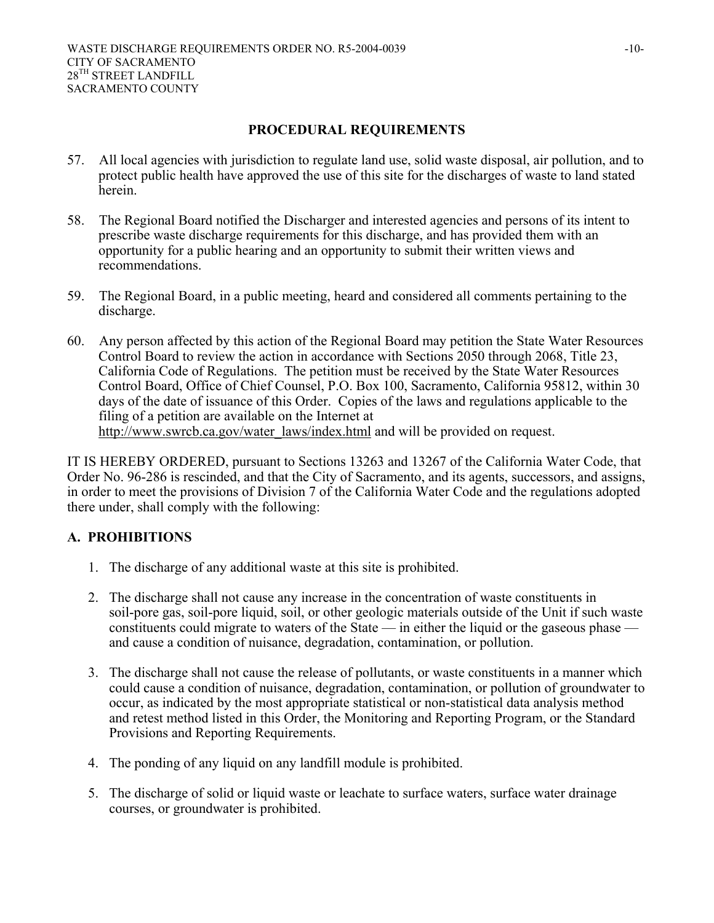#### **PROCEDURAL REQUIREMENTS**

- 57. All local agencies with jurisdiction to regulate land use, solid waste disposal, air pollution, and to protect public health have approved the use of this site for the discharges of waste to land stated herein.
- 58. The Regional Board notified the Discharger and interested agencies and persons of its intent to prescribe waste discharge requirements for this discharge, and has provided them with an opportunity for a public hearing and an opportunity to submit their written views and recommendations.
- 59. The Regional Board, in a public meeting, heard and considered all comments pertaining to the discharge.
- 60. Any person affected by this action of the Regional Board may petition the State Water Resources Control Board to review the action in accordance with Sections 2050 through 2068, Title 23, California Code of Regulations. The petition must be received by the State Water Resources Control Board, Office of Chief Counsel, P.O. Box 100, Sacramento, California 95812, within 30 days of the date of issuance of this Order. Copies of the laws and regulations applicable to the filing of a petition are available on the Internet at http://www.swrcb.ca.gov/water\_laws/index.html and will be provided on request.

IT IS HEREBY ORDERED, pursuant to Sections 13263 and 13267 of the California Water Code, that Order No. 96-286 is rescinded, and that the City of Sacramento, and its agents, successors, and assigns, in order to meet the provisions of Division 7 of the California Water Code and the regulations adopted there under, shall comply with the following:

#### **A. PROHIBITIONS**

- 1. The discharge of any additional waste at this site is prohibited.
- 2. The discharge shall not cause any increase in the concentration of waste constituents in soil-pore gas, soil-pore liquid, soil, or other geologic materials outside of the Unit if such waste constituents could migrate to waters of the State — in either the liquid or the gaseous phase and cause a condition of nuisance, degradation, contamination, or pollution.
- 3. The discharge shall not cause the release of pollutants, or waste constituents in a manner which could cause a condition of nuisance, degradation, contamination, or pollution of groundwater to occur, as indicated by the most appropriate statistical or non-statistical data analysis method and retest method listed in this Order, the Monitoring and Reporting Program, or the Standard Provisions and Reporting Requirements.
- 4. The ponding of any liquid on any landfill module is prohibited.
- 5. The discharge of solid or liquid waste or leachate to surface waters, surface water drainage courses, or groundwater is prohibited.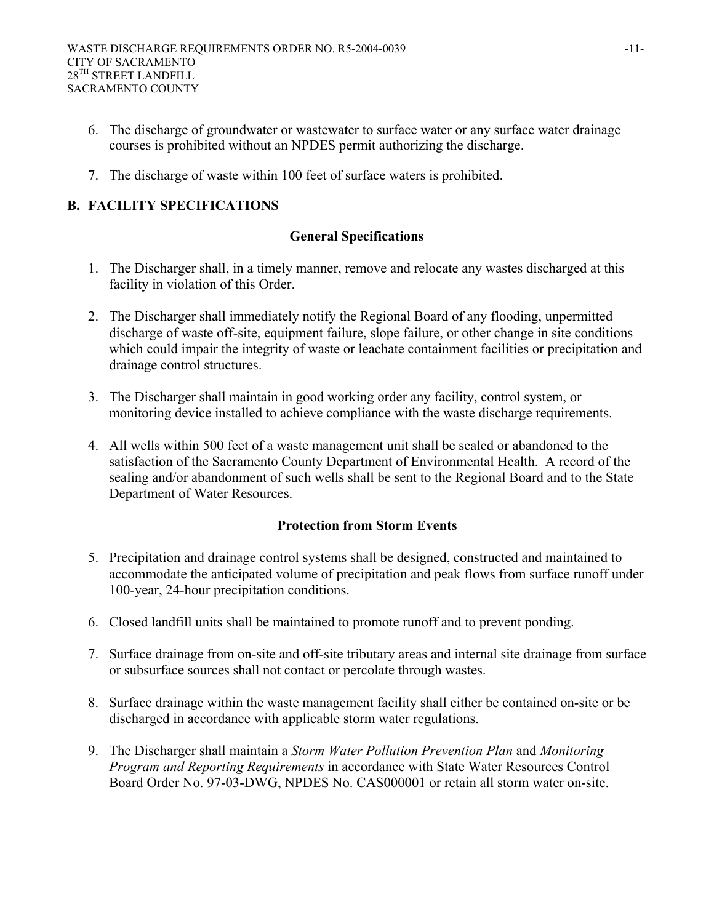- 6. The discharge of groundwater or wastewater to surface water or any surface water drainage courses is prohibited without an NPDES permit authorizing the discharge.
- 7. The discharge of waste within 100 feet of surface waters is prohibited.

# **B. FACILITY SPECIFICATIONS**

#### **General Specifications**

- 1. The Discharger shall, in a timely manner, remove and relocate any wastes discharged at this facility in violation of this Order.
- 2. The Discharger shall immediately notify the Regional Board of any flooding, unpermitted discharge of waste off-site, equipment failure, slope failure, or other change in site conditions which could impair the integrity of waste or leachate containment facilities or precipitation and drainage control structures.
- 3. The Discharger shall maintain in good working order any facility, control system, or monitoring device installed to achieve compliance with the waste discharge requirements.
- 4. All wells within 500 feet of a waste management unit shall be sealed or abandoned to the satisfaction of the Sacramento County Department of Environmental Health. A record of the sealing and/or abandonment of such wells shall be sent to the Regional Board and to the State Department of Water Resources.

#### **Protection from Storm Events**

- 5. Precipitation and drainage control systems shall be designed, constructed and maintained to accommodate the anticipated volume of precipitation and peak flows from surface runoff under 100-year, 24-hour precipitation conditions.
- 6. Closed landfill units shall be maintained to promote runoff and to prevent ponding.
- 7. Surface drainage from on-site and off-site tributary areas and internal site drainage from surface or subsurface sources shall not contact or percolate through wastes.
- 8. Surface drainage within the waste management facility shall either be contained on-site or be discharged in accordance with applicable storm water regulations.
- 9. The Discharger shall maintain a *Storm Water Pollution Prevention Plan* and *Monitoring Program and Reporting Requirements* in accordance with State Water Resources Control Board Order No. 97-03-DWG, NPDES No. CAS000001 or retain all storm water on-site.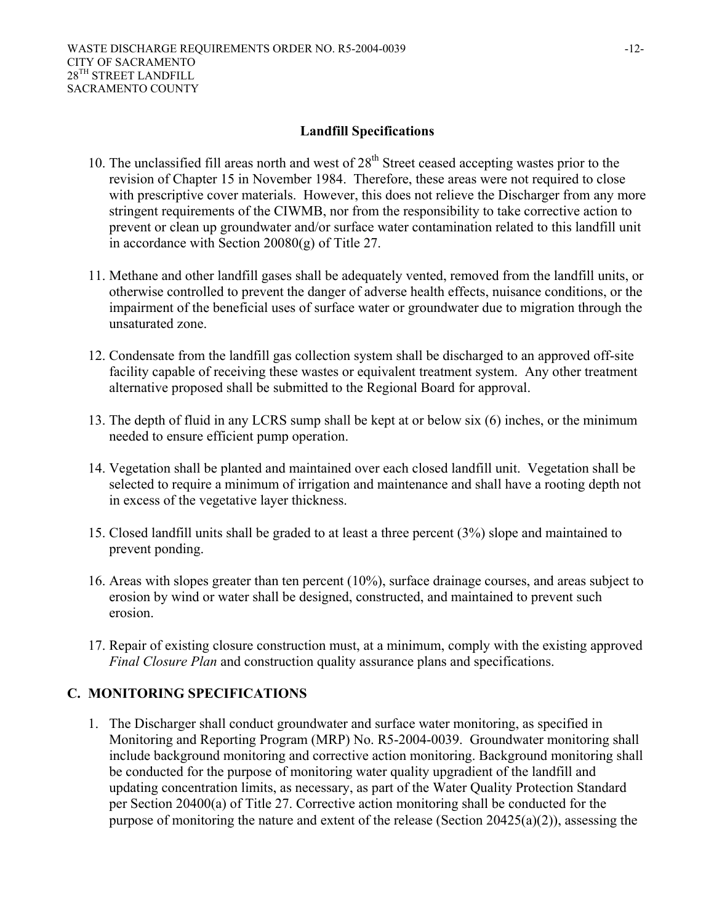#### **Landfill Specifications**

- 10. The unclassified fill areas north and west of  $28<sup>th</sup>$  Street ceased accepting wastes prior to the revision of Chapter 15 in November 1984. Therefore, these areas were not required to close with prescriptive cover materials. However, this does not relieve the Discharger from any more stringent requirements of the CIWMB, nor from the responsibility to take corrective action to prevent or clean up groundwater and/or surface water contamination related to this landfill unit in accordance with Section 20080(g) of Title 27.
- 11. Methane and other landfill gases shall be adequately vented, removed from the landfill units, or otherwise controlled to prevent the danger of adverse health effects, nuisance conditions, or the impairment of the beneficial uses of surface water or groundwater due to migration through the unsaturated zone.
- 12. Condensate from the landfill gas collection system shall be discharged to an approved off-site facility capable of receiving these wastes or equivalent treatment system. Any other treatment alternative proposed shall be submitted to the Regional Board for approval.
- 13. The depth of fluid in any LCRS sump shall be kept at or below six (6) inches, or the minimum needed to ensure efficient pump operation.
- 14. Vegetation shall be planted and maintained over each closed landfill unit. Vegetation shall be selected to require a minimum of irrigation and maintenance and shall have a rooting depth not in excess of the vegetative layer thickness.
- 15. Closed landfill units shall be graded to at least a three percent (3%) slope and maintained to prevent ponding.
- 16. Areas with slopes greater than ten percent (10%), surface drainage courses, and areas subject to erosion by wind or water shall be designed, constructed, and maintained to prevent such erosion.
- 17. Repair of existing closure construction must, at a minimum, comply with the existing approved *Final Closure Plan* and construction quality assurance plans and specifications.

#### **C. MONITORING SPECIFICATIONS**

1. The Discharger shall conduct groundwater and surface water monitoring, as specified in Monitoring and Reporting Program (MRP) No. R5-2004-0039. Groundwater monitoring shall include background monitoring and corrective action monitoring. Background monitoring shall be conducted for the purpose of monitoring water quality upgradient of the landfill and updating concentration limits, as necessary, as part of the Water Quality Protection Standard per Section 20400(a) of Title 27. Corrective action monitoring shall be conducted for the purpose of monitoring the nature and extent of the release (Section 20425(a)(2)), assessing the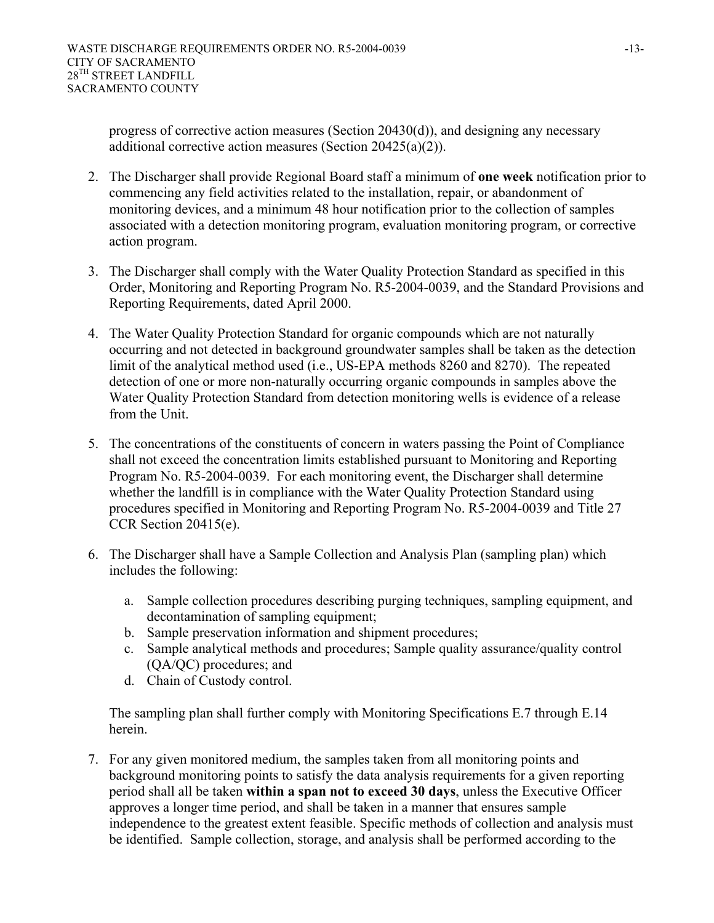progress of corrective action measures (Section 20430(d)), and designing any necessary additional corrective action measures (Section 20425(a)(2)).

- 2. The Discharger shall provide Regional Board staff a minimum of **one week** notification prior to commencing any field activities related to the installation, repair, or abandonment of monitoring devices, and a minimum 48 hour notification prior to the collection of samples associated with a detection monitoring program, evaluation monitoring program, or corrective action program.
- 3. The Discharger shall comply with the Water Quality Protection Standard as specified in this Order, Monitoring and Reporting Program No. R5-2004-0039, and the Standard Provisions and Reporting Requirements, dated April 2000.
- 4. The Water Quality Protection Standard for organic compounds which are not naturally occurring and not detected in background groundwater samples shall be taken as the detection limit of the analytical method used (i.e., US-EPA methods 8260 and 8270). The repeated detection of one or more non-naturally occurring organic compounds in samples above the Water Quality Protection Standard from detection monitoring wells is evidence of a release from the Unit.
- 5. The concentrations of the constituents of concern in waters passing the Point of Compliance shall not exceed the concentration limits established pursuant to Monitoring and Reporting Program No. R5-2004-0039. For each monitoring event, the Discharger shall determine whether the landfill is in compliance with the Water Quality Protection Standard using procedures specified in Monitoring and Reporting Program No. R5-2004-0039 and Title 27 CCR Section 20415(e).
- 6. The Discharger shall have a Sample Collection and Analysis Plan (sampling plan) which includes the following:
	- a. Sample collection procedures describing purging techniques, sampling equipment, and decontamination of sampling equipment;
	- b. Sample preservation information and shipment procedures;
	- c. Sample analytical methods and procedures; Sample quality assurance/quality control (QA/QC) procedures; and
	- d. Chain of Custody control.

The sampling plan shall further comply with Monitoring Specifications E.7 through E.14 herein.

7. For any given monitored medium, the samples taken from all monitoring points and background monitoring points to satisfy the data analysis requirements for a given reporting period shall all be taken **within a span not to exceed 30 days**, unless the Executive Officer approves a longer time period, and shall be taken in a manner that ensures sample independence to the greatest extent feasible. Specific methods of collection and analysis must be identified. Sample collection, storage, and analysis shall be performed according to the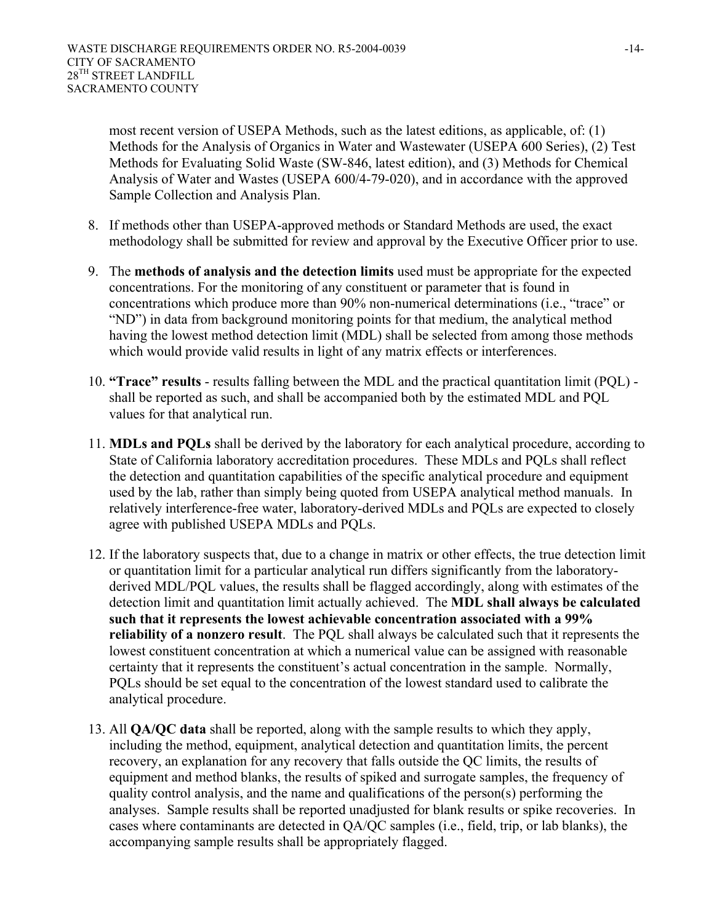most recent version of USEPA Methods, such as the latest editions, as applicable, of: (1) Methods for the Analysis of Organics in Water and Wastewater (USEPA 600 Series), (2) Test Methods for Evaluating Solid Waste (SW-846, latest edition), and (3) Methods for Chemical Analysis of Water and Wastes (USEPA 600/4-79-020), and in accordance with the approved Sample Collection and Analysis Plan.

- 8. If methods other than USEPA-approved methods or Standard Methods are used, the exact methodology shall be submitted for review and approval by the Executive Officer prior to use.
- 9. The **methods of analysis and the detection limits** used must be appropriate for the expected concentrations. For the monitoring of any constituent or parameter that is found in concentrations which produce more than 90% non-numerical determinations (i.e., "trace" or "ND") in data from background monitoring points for that medium, the analytical method having the lowest method detection limit (MDL) shall be selected from among those methods which would provide valid results in light of any matrix effects or interferences.
- 10. **"Trace" results** results falling between the MDL and the practical quantitation limit (PQL) shall be reported as such, and shall be accompanied both by the estimated MDL and PQL values for that analytical run.
- 11. **MDLs and PQLs** shall be derived by the laboratory for each analytical procedure, according to State of California laboratory accreditation procedures. These MDLs and PQLs shall reflect the detection and quantitation capabilities of the specific analytical procedure and equipment used by the lab, rather than simply being quoted from USEPA analytical method manuals. In relatively interference-free water, laboratory-derived MDLs and PQLs are expected to closely agree with published USEPA MDLs and PQLs.
- 12. If the laboratory suspects that, due to a change in matrix or other effects, the true detection limit or quantitation limit for a particular analytical run differs significantly from the laboratoryderived MDL/PQL values, the results shall be flagged accordingly, along with estimates of the detection limit and quantitation limit actually achieved. The **MDL shall always be calculated such that it represents the lowest achievable concentration associated with a 99% reliability of a nonzero result**. The PQL shall always be calculated such that it represents the lowest constituent concentration at which a numerical value can be assigned with reasonable certainty that it represents the constituent's actual concentration in the sample. Normally, PQLs should be set equal to the concentration of the lowest standard used to calibrate the analytical procedure.
- 13. All **QA/QC data** shall be reported, along with the sample results to which they apply, including the method, equipment, analytical detection and quantitation limits, the percent recovery, an explanation for any recovery that falls outside the QC limits, the results of equipment and method blanks, the results of spiked and surrogate samples, the frequency of quality control analysis, and the name and qualifications of the person(s) performing the analyses. Sample results shall be reported unadjusted for blank results or spike recoveries. In cases where contaminants are detected in QA/QC samples (i.e., field, trip, or lab blanks), the accompanying sample results shall be appropriately flagged.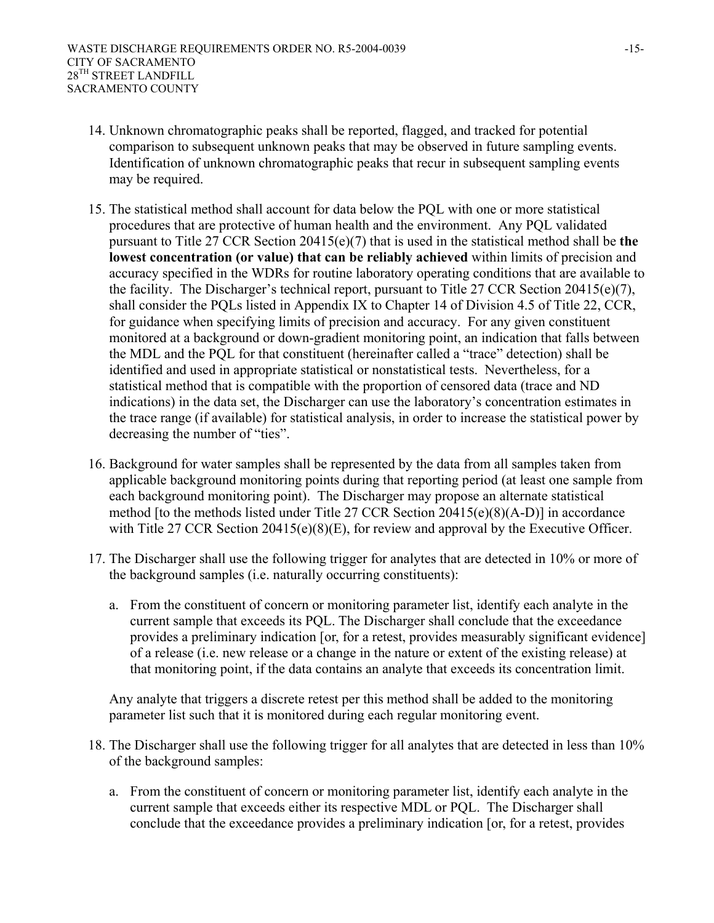- 14. Unknown chromatographic peaks shall be reported, flagged, and tracked for potential comparison to subsequent unknown peaks that may be observed in future sampling events. Identification of unknown chromatographic peaks that recur in subsequent sampling events may be required.
- 15. The statistical method shall account for data below the PQL with one or more statistical procedures that are protective of human health and the environment. Any PQL validated pursuant to Title 27 CCR Section 20415(e)(7) that is used in the statistical method shall be **the lowest concentration (or value) that can be reliably achieved** within limits of precision and accuracy specified in the WDRs for routine laboratory operating conditions that are available to the facility. The Discharger's technical report, pursuant to Title 27 CCR Section 20415(e)(7), shall consider the PQLs listed in Appendix IX to Chapter 14 of Division 4.5 of Title 22, CCR, for guidance when specifying limits of precision and accuracy. For any given constituent monitored at a background or down-gradient monitoring point, an indication that falls between the MDL and the PQL for that constituent (hereinafter called a "trace" detection) shall be identified and used in appropriate statistical or nonstatistical tests. Nevertheless, for a statistical method that is compatible with the proportion of censored data (trace and ND indications) in the data set, the Discharger can use the laboratory's concentration estimates in the trace range (if available) for statistical analysis, in order to increase the statistical power by decreasing the number of "ties".
- 16. Background for water samples shall be represented by the data from all samples taken from applicable background monitoring points during that reporting period (at least one sample from each background monitoring point). The Discharger may propose an alternate statistical method [to the methods listed under Title 27 CCR Section 20415(e)(8)(A-D)] in accordance with Title 27 CCR Section 20415(e)(8)(E), for review and approval by the Executive Officer.
- 17. The Discharger shall use the following trigger for analytes that are detected in 10% or more of the background samples (i.e. naturally occurring constituents):
	- a. From the constituent of concern or monitoring parameter list, identify each analyte in the current sample that exceeds its PQL. The Discharger shall conclude that the exceedance provides a preliminary indication [or, for a retest, provides measurably significant evidence] of a release (i.e. new release or a change in the nature or extent of the existing release) at that monitoring point, if the data contains an analyte that exceeds its concentration limit.

Any analyte that triggers a discrete retest per this method shall be added to the monitoring parameter list such that it is monitored during each regular monitoring event.

- 18. The Discharger shall use the following trigger for all analytes that are detected in less than 10% of the background samples:
	- a. From the constituent of concern or monitoring parameter list, identify each analyte in the current sample that exceeds either its respective MDL or PQL. The Discharger shall conclude that the exceedance provides a preliminary indication [or, for a retest, provides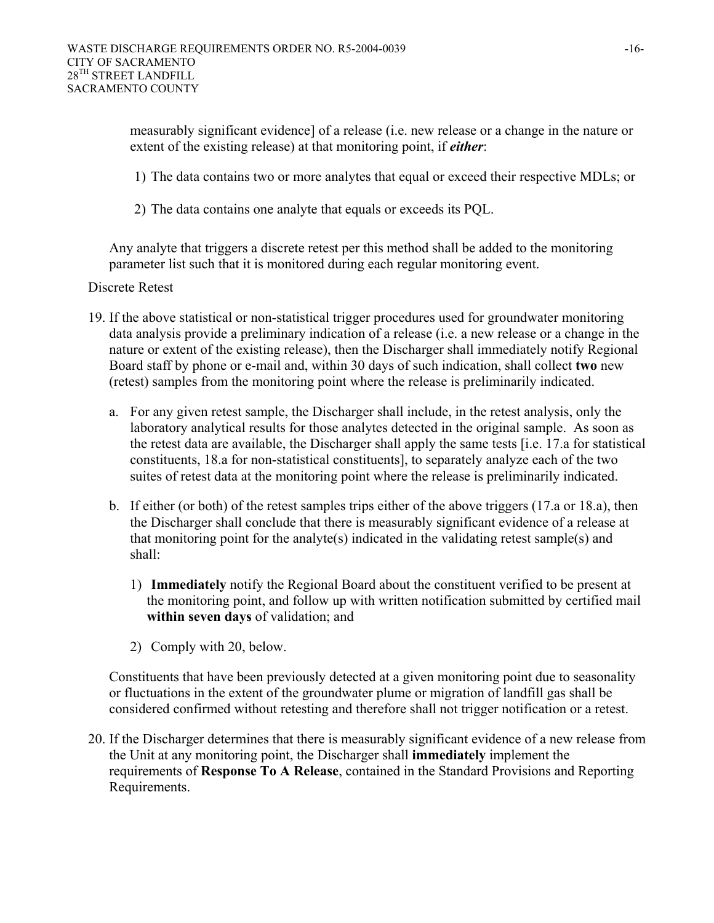measurably significant evidence] of a release (i.e. new release or a change in the nature or extent of the existing release) at that monitoring point, if *either*:

- 1) The data contains two or more analytes that equal or exceed their respective MDLs; or
- 2) The data contains one analyte that equals or exceeds its PQL.

Any analyte that triggers a discrete retest per this method shall be added to the monitoring parameter list such that it is monitored during each regular monitoring event.

#### Discrete Retest

- 19. If the above statistical or non-statistical trigger procedures used for groundwater monitoring data analysis provide a preliminary indication of a release (i.e. a new release or a change in the nature or extent of the existing release), then the Discharger shall immediately notify Regional Board staff by phone or e-mail and, within 30 days of such indication, shall collect **two** new (retest) samples from the monitoring point where the release is preliminarily indicated.
	- a. For any given retest sample, the Discharger shall include, in the retest analysis, only the laboratory analytical results for those analytes detected in the original sample. As soon as the retest data are available, the Discharger shall apply the same tests [i.e. 17.a for statistical constituents, 18.a for non-statistical constituents], to separately analyze each of the two suites of retest data at the monitoring point where the release is preliminarily indicated.
	- b. If either (or both) of the retest samples trips either of the above triggers (17.a or 18.a), then the Discharger shall conclude that there is measurably significant evidence of a release at that monitoring point for the analyte(s) indicated in the validating retest sample(s) and shall:
		- 1) **Immediately** notify the Regional Board about the constituent verified to be present at the monitoring point, and follow up with written notification submitted by certified mail **within seven days** of validation; and
		- 2) Comply with 20, below.

Constituents that have been previously detected at a given monitoring point due to seasonality or fluctuations in the extent of the groundwater plume or migration of landfill gas shall be considered confirmed without retesting and therefore shall not trigger notification or a retest.

20. If the Discharger determines that there is measurably significant evidence of a new release from the Unit at any monitoring point, the Discharger shall **immediately** implement the requirements of **Response To A Release**, contained in the Standard Provisions and Reporting Requirements.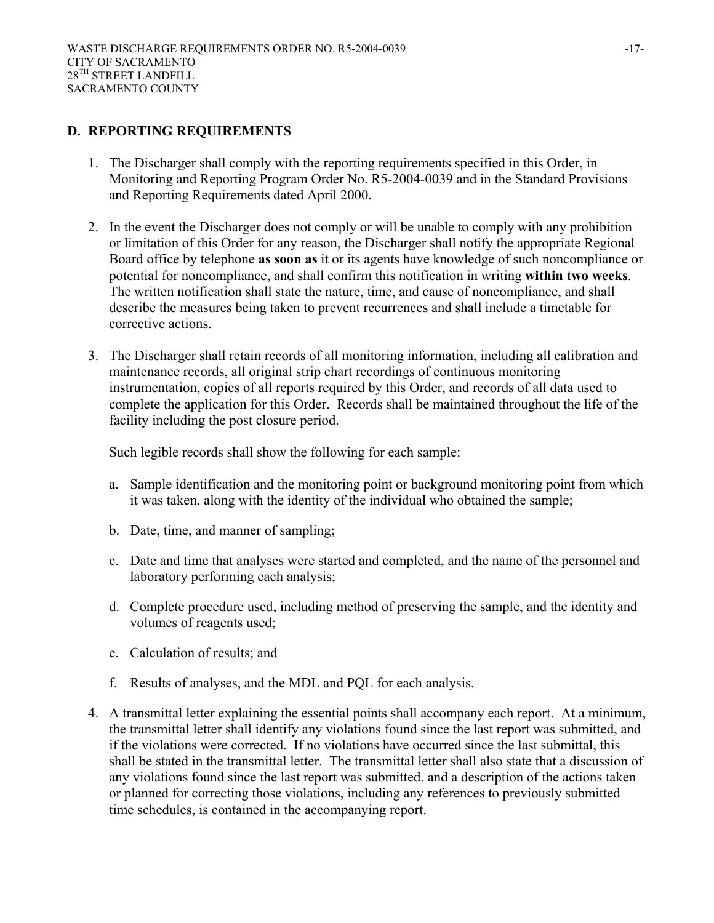# **D. REPORTING REQUIREMENTS**

- 1. The Discharger shall comply with the reporting requirements specified in this Order, in Monitoring and Reporting Program Order No. R5-2004-0039 and in the Standard Provisions and Reporting Requirements dated April 2000.
- 2. In the event the Discharger does not comply or will be unable to comply with any prohibition or limitation of this Order for any reason, the Discharger shall notify the appropriate Regional Board office by telephone **as soon as** it or its agents have knowledge of such noncompliance or potential for noncompliance, and shall confirm this notification in writing **within two weeks**. The written notification shall state the nature, time, and cause of noncompliance, and shall describe the measures being taken to prevent recurrences and shall include a timetable for corrective actions.
- 3. The Discharger shall retain records of all monitoring information, including all calibration and maintenance records, all original strip chart recordings of continuous monitoring instrumentation, copies of all reports required by this Order, and records of all data used to complete the application for this Order. Records shall be maintained throughout the life of the facility including the post closure period.

Such legible records shall show the following for each sample:

- a. Sample identification and the monitoring point or background monitoring point from which it was taken, along with the identity of the individual who obtained the sample;
- b. Date, time, and manner of sampling;
- c. Date and time that analyses were started and completed, and the name of the personnel and laboratory performing each analysis;
- d. Complete procedure used, including method of preserving the sample, and the identity and volumes of reagents used;
- e. Calculation of results; and
- f. Results of analyses, and the MDL and PQL for each analysis.
- 4. A transmittal letter explaining the essential points shall accompany each report. At a minimum, the transmittal letter shall identify any violations found since the last report was submitted, and if the violations were corrected. If no violations have occurred since the last submittal, this shall be stated in the transmittal letter. The transmittal letter shall also state that a discussion of any violations found since the last report was submitted, and a description of the actions taken or planned for correcting those violations, including any references to previously submitted time schedules, is contained in the accompanying report.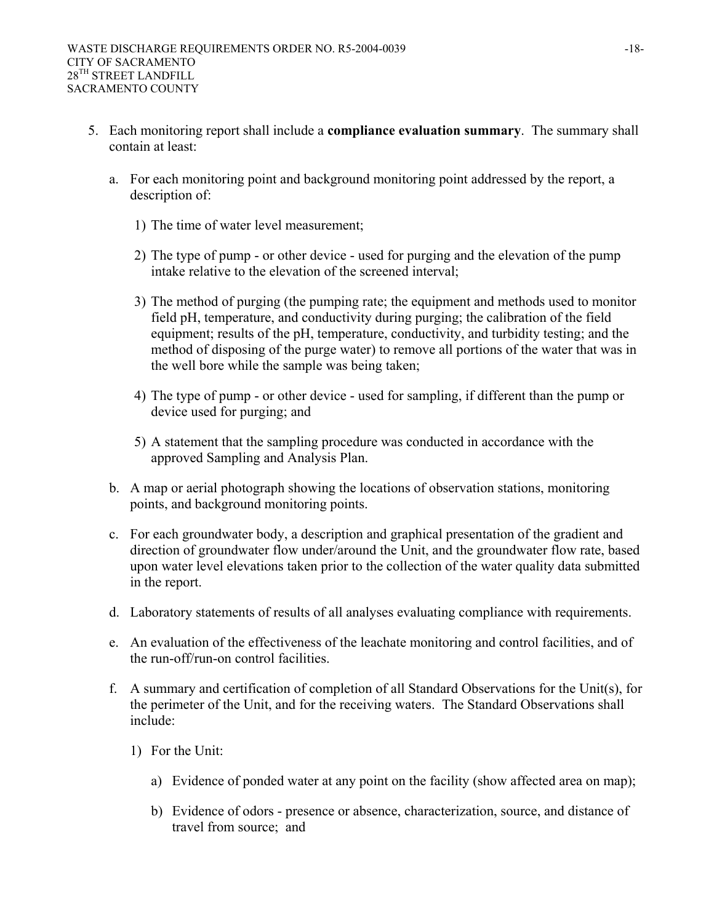- 5. Each monitoring report shall include a **compliance evaluation summary**. The summary shall contain at least:
	- a. For each monitoring point and background monitoring point addressed by the report, a description of:
		- 1) The time of water level measurement;
		- 2) The type of pump or other device used for purging and the elevation of the pump intake relative to the elevation of the screened interval;
		- 3) The method of purging (the pumping rate; the equipment and methods used to monitor field pH, temperature, and conductivity during purging; the calibration of the field equipment; results of the pH, temperature, conductivity, and turbidity testing; and the method of disposing of the purge water) to remove all portions of the water that was in the well bore while the sample was being taken;
		- 4) The type of pump or other device used for sampling, if different than the pump or device used for purging; and
		- 5) A statement that the sampling procedure was conducted in accordance with the approved Sampling and Analysis Plan.
	- b. A map or aerial photograph showing the locations of observation stations, monitoring points, and background monitoring points.
	- c. For each groundwater body, a description and graphical presentation of the gradient and direction of groundwater flow under/around the Unit, and the groundwater flow rate, based upon water level elevations taken prior to the collection of the water quality data submitted in the report.
	- d. Laboratory statements of results of all analyses evaluating compliance with requirements.
	- e. An evaluation of the effectiveness of the leachate monitoring and control facilities, and of the run-off/run-on control facilities.
	- f. A summary and certification of completion of all Standard Observations for the Unit(s), for the perimeter of the Unit, and for the receiving waters. The Standard Observations shall include:
		- 1) For the Unit:
			- a) Evidence of ponded water at any point on the facility (show affected area on map);
			- b) Evidence of odors presence or absence, characterization, source, and distance of travel from source; and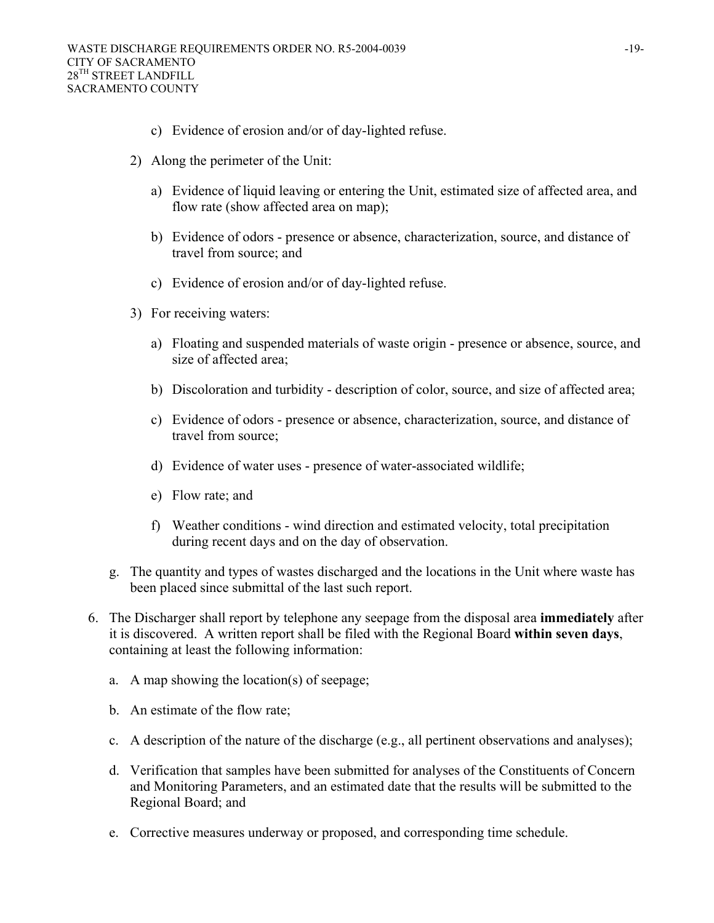- c) Evidence of erosion and/or of day-lighted refuse.
- 2) Along the perimeter of the Unit:
	- a) Evidence of liquid leaving or entering the Unit, estimated size of affected area, and flow rate (show affected area on map);
	- b) Evidence of odors presence or absence, characterization, source, and distance of travel from source; and
	- c) Evidence of erosion and/or of day-lighted refuse.
- 3) For receiving waters:
	- a) Floating and suspended materials of waste origin presence or absence, source, and size of affected area;
	- b) Discoloration and turbidity description of color, source, and size of affected area;
	- c) Evidence of odors presence or absence, characterization, source, and distance of travel from source;
	- d) Evidence of water uses presence of water-associated wildlife;
	- e) Flow rate; and
	- f) Weather conditions wind direction and estimated velocity, total precipitation during recent days and on the day of observation.
- g. The quantity and types of wastes discharged and the locations in the Unit where waste has been placed since submittal of the last such report.
- 6. The Discharger shall report by telephone any seepage from the disposal area **immediately** after it is discovered. A written report shall be filed with the Regional Board **within seven days**, containing at least the following information:
	- a. A map showing the location(s) of seepage;
	- b. An estimate of the flow rate;
	- c. A description of the nature of the discharge (e.g., all pertinent observations and analyses);
	- d. Verification that samples have been submitted for analyses of the Constituents of Concern and Monitoring Parameters, and an estimated date that the results will be submitted to the Regional Board; and
	- e. Corrective measures underway or proposed, and corresponding time schedule.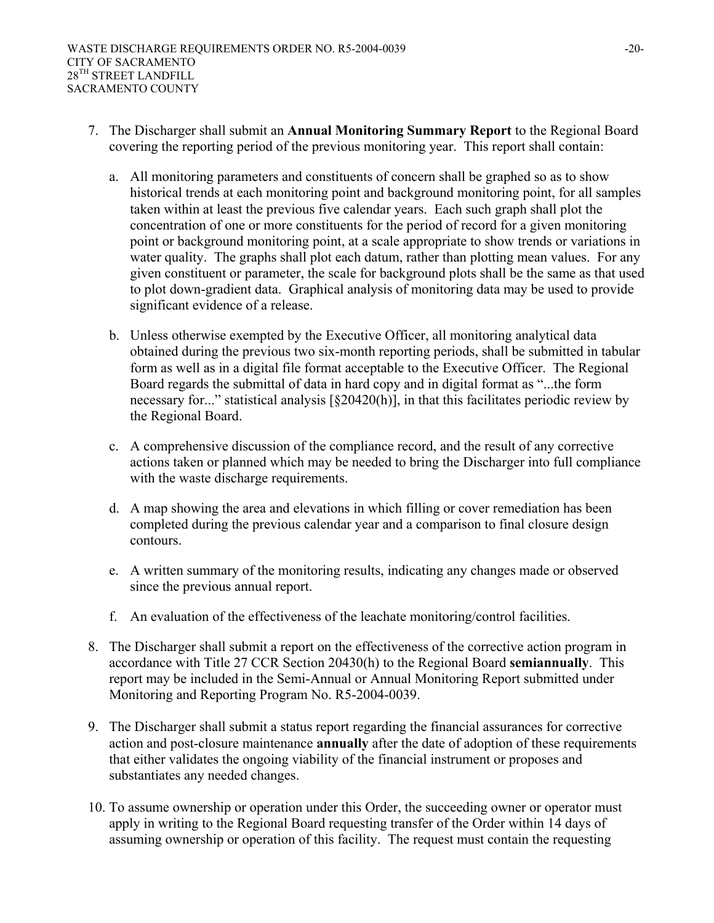- 7. The Discharger shall submit an **Annual Monitoring Summary Report** to the Regional Board covering the reporting period of the previous monitoring year. This report shall contain:
	- a. All monitoring parameters and constituents of concern shall be graphed so as to show historical trends at each monitoring point and background monitoring point, for all samples taken within at least the previous five calendar years. Each such graph shall plot the concentration of one or more constituents for the period of record for a given monitoring point or background monitoring point, at a scale appropriate to show trends or variations in water quality. The graphs shall plot each datum, rather than plotting mean values. For any given constituent or parameter, the scale for background plots shall be the same as that used to plot down-gradient data. Graphical analysis of monitoring data may be used to provide significant evidence of a release.
	- b. Unless otherwise exempted by the Executive Officer, all monitoring analytical data obtained during the previous two six-month reporting periods, shall be submitted in tabular form as well as in a digital file format acceptable to the Executive Officer. The Regional Board regards the submittal of data in hard copy and in digital format as "...the form necessary for..." statistical analysis [§20420(h)], in that this facilitates periodic review by the Regional Board.
	- c. A comprehensive discussion of the compliance record, and the result of any corrective actions taken or planned which may be needed to bring the Discharger into full compliance with the waste discharge requirements.
	- d. A map showing the area and elevations in which filling or cover remediation has been completed during the previous calendar year and a comparison to final closure design contours.
	- e. A written summary of the monitoring results, indicating any changes made or observed since the previous annual report.
	- f. An evaluation of the effectiveness of the leachate monitoring/control facilities.
- 8. The Discharger shall submit a report on the effectiveness of the corrective action program in accordance with Title 27 CCR Section 20430(h) to the Regional Board **semiannually**. This report may be included in the Semi-Annual or Annual Monitoring Report submitted under Monitoring and Reporting Program No. R5-2004-0039.
- 9. The Discharger shall submit a status report regarding the financial assurances for corrective action and post-closure maintenance **annually** after the date of adoption of these requirements that either validates the ongoing viability of the financial instrument or proposes and substantiates any needed changes.
- 10. To assume ownership or operation under this Order, the succeeding owner or operator must apply in writing to the Regional Board requesting transfer of the Order within 14 days of assuming ownership or operation of this facility. The request must contain the requesting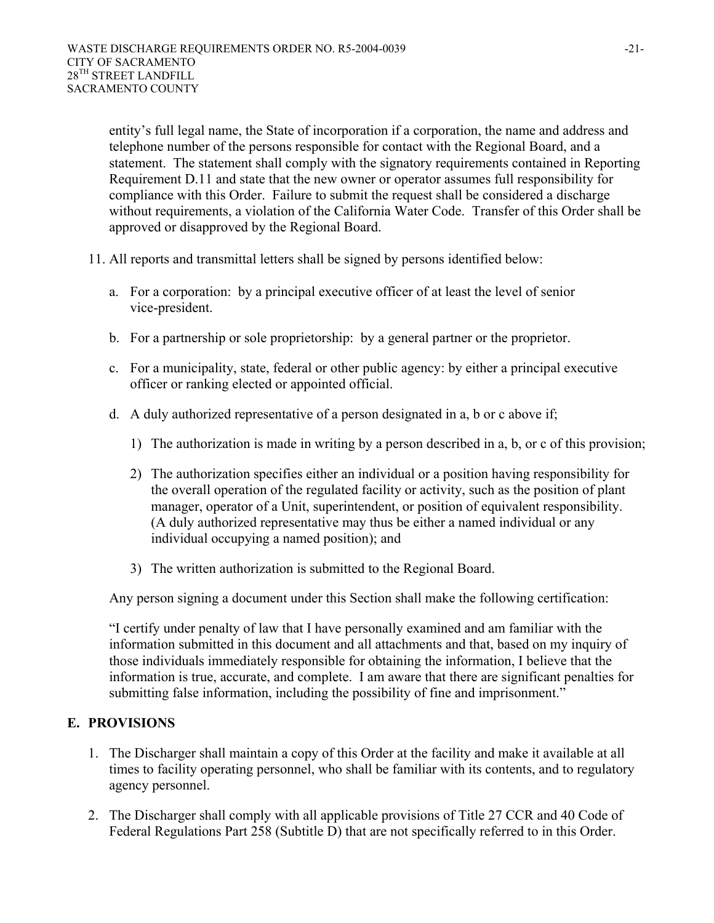entity's full legal name, the State of incorporation if a corporation, the name and address and telephone number of the persons responsible for contact with the Regional Board, and a statement. The statement shall comply with the signatory requirements contained in Reporting Requirement D.11 and state that the new owner or operator assumes full responsibility for compliance with this Order. Failure to submit the request shall be considered a discharge without requirements, a violation of the California Water Code. Transfer of this Order shall be approved or disapproved by the Regional Board.

- 11. All reports and transmittal letters shall be signed by persons identified below:
	- a. For a corporation: by a principal executive officer of at least the level of senior vice-president.
	- b. For a partnership or sole proprietorship: by a general partner or the proprietor.
	- c. For a municipality, state, federal or other public agency: by either a principal executive officer or ranking elected or appointed official.
	- d. A duly authorized representative of a person designated in a, b or c above if;
		- 1) The authorization is made in writing by a person described in a, b, or c of this provision;
		- 2) The authorization specifies either an individual or a position having responsibility for the overall operation of the regulated facility or activity, such as the position of plant manager, operator of a Unit, superintendent, or position of equivalent responsibility. (A duly authorized representative may thus be either a named individual or any individual occupying a named position); and
		- 3) The written authorization is submitted to the Regional Board.

Any person signing a document under this Section shall make the following certification:

 "I certify under penalty of law that I have personally examined and am familiar with the information submitted in this document and all attachments and that, based on my inquiry of those individuals immediately responsible for obtaining the information, I believe that the information is true, accurate, and complete. I am aware that there are significant penalties for submitting false information, including the possibility of fine and imprisonment."

# **E. PROVISIONS**

- 1. The Discharger shall maintain a copy of this Order at the facility and make it available at all times to facility operating personnel, who shall be familiar with its contents, and to regulatory agency personnel.
- 2. The Discharger shall comply with all applicable provisions of Title 27 CCR and 40 Code of Federal Regulations Part 258 (Subtitle D) that are not specifically referred to in this Order.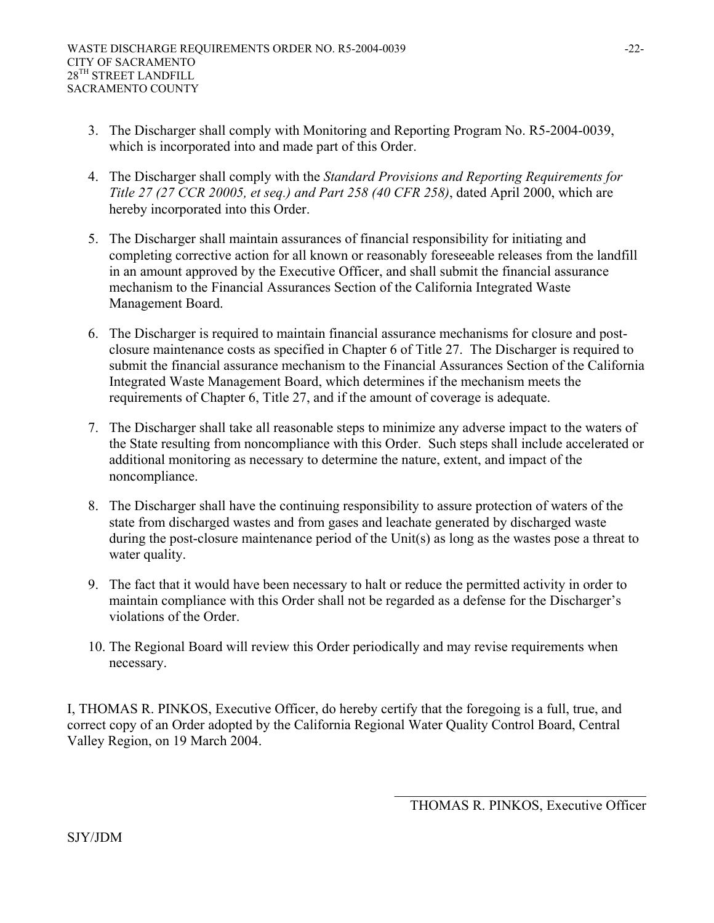- 3. The Discharger shall comply with Monitoring and Reporting Program No. R5-2004-0039, which is incorporated into and made part of this Order.
- 4. The Discharger shall comply with the *Standard Provisions and Reporting Requirements for Title 27 (27 CCR 20005, et seq.) and Part 258 (40 CFR 258)*, dated April 2000, which are hereby incorporated into this Order.
- 5. The Discharger shall maintain assurances of financial responsibility for initiating and completing corrective action for all known or reasonably foreseeable releases from the landfill in an amount approved by the Executive Officer, and shall submit the financial assurance mechanism to the Financial Assurances Section of the California Integrated Waste Management Board.
- 6. The Discharger is required to maintain financial assurance mechanisms for closure and postclosure maintenance costs as specified in Chapter 6 of Title 27. The Discharger is required to submit the financial assurance mechanism to the Financial Assurances Section of the California Integrated Waste Management Board, which determines if the mechanism meets the requirements of Chapter 6, Title 27, and if the amount of coverage is adequate.
- 7. The Discharger shall take all reasonable steps to minimize any adverse impact to the waters of the State resulting from noncompliance with this Order. Such steps shall include accelerated or additional monitoring as necessary to determine the nature, extent, and impact of the noncompliance.
- 8. The Discharger shall have the continuing responsibility to assure protection of waters of the state from discharged wastes and from gases and leachate generated by discharged waste during the post-closure maintenance period of the Unit(s) as long as the wastes pose a threat to water quality.
- 9. The fact that it would have been necessary to halt or reduce the permitted activity in order to maintain compliance with this Order shall not be regarded as a defense for the Discharger's violations of the Order.
- 10. The Regional Board will review this Order periodically and may revise requirements when necessary.

I, THOMAS R. PINKOS, Executive Officer, do hereby certify that the foregoing is a full, true, and correct copy of an Order adopted by the California Regional Water Quality Control Board, Central Valley Region, on 19 March 2004.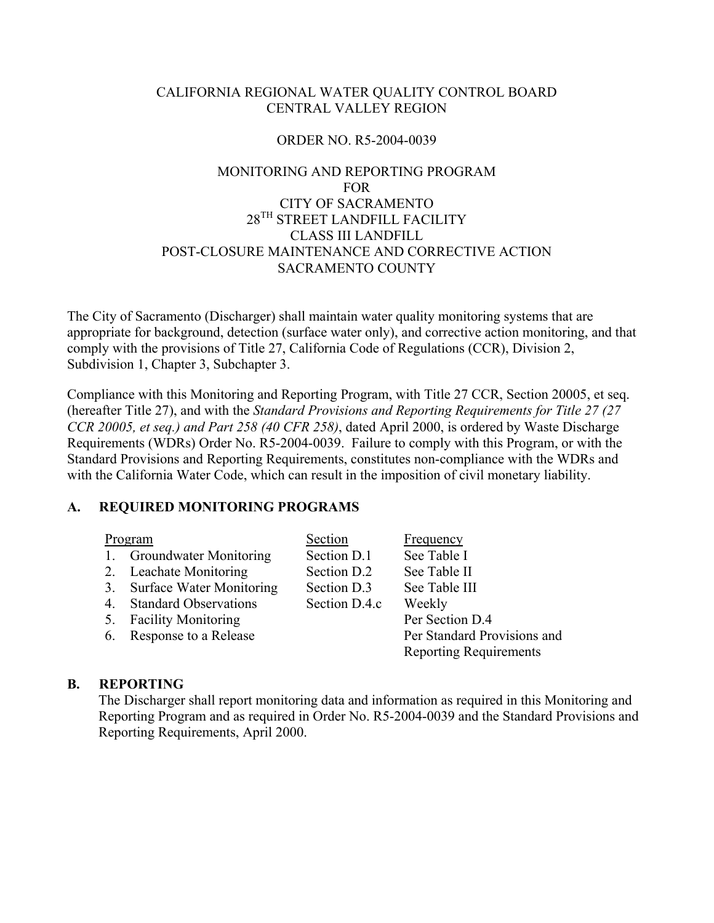#### CALIFORNIA REGIONAL WATER QUALITY CONTROL BOARD CENTRAL VALLEY REGION

#### ORDER NO. R5-2004-0039

# MONITORING AND REPORTING PROGRAM FOR CITY OF SACRAMENTO 28TH STREET LANDFILL FACILITY CLASS III LANDFILL POST-CLOSURE MAINTENANCE AND CORRECTIVE ACTION SACRAMENTO COUNTY

The City of Sacramento (Discharger) shall maintain water quality monitoring systems that are appropriate for background, detection (surface water only), and corrective action monitoring, and that comply with the provisions of Title 27, California Code of Regulations (CCR), Division 2, Subdivision 1, Chapter 3, Subchapter 3.

Compliance with this Monitoring and Reporting Program, with Title 27 CCR, Section 20005, et seq. (hereafter Title 27), and with the *Standard Provisions and Reporting Requirements for Title 27 (27 CCR 20005, et seq.) and Part 258 (40 CFR 258)*, dated April 2000, is ordered by Waste Discharge Requirements (WDRs) Order No. R5-2004-0039. Failure to comply with this Program, or with the Standard Provisions and Reporting Requirements, constitutes non-compliance with the WDRs and with the California Water Code, which can result in the imposition of civil monetary liability.

#### **A. REQUIRED MONITORING PROGRAMS**

|    | Program                         | Section       | Frequency                     |
|----|---------------------------------|---------------|-------------------------------|
|    | <b>Groundwater Monitoring</b>   | Section D.1   | See Table I                   |
| 2. | <b>Leachate Monitoring</b>      | Section D.2   | See Table II                  |
| 3. | <b>Surface Water Monitoring</b> | Section D.3   | See Table III                 |
| 4. | <b>Standard Observations</b>    | Section D.4.c | Weekly                        |
| 5. | <b>Facility Monitoring</b>      |               | Per Section D.4               |
| 6. | Response to a Release           |               | Per Standard Provisions and   |
|    |                                 |               | <b>Reporting Requirements</b> |
|    |                                 |               |                               |

#### **B. REPORTING**

The Discharger shall report monitoring data and information as required in this Monitoring and Reporting Program and as required in Order No. R5-2004-0039 and the Standard Provisions and Reporting Requirements, April 2000.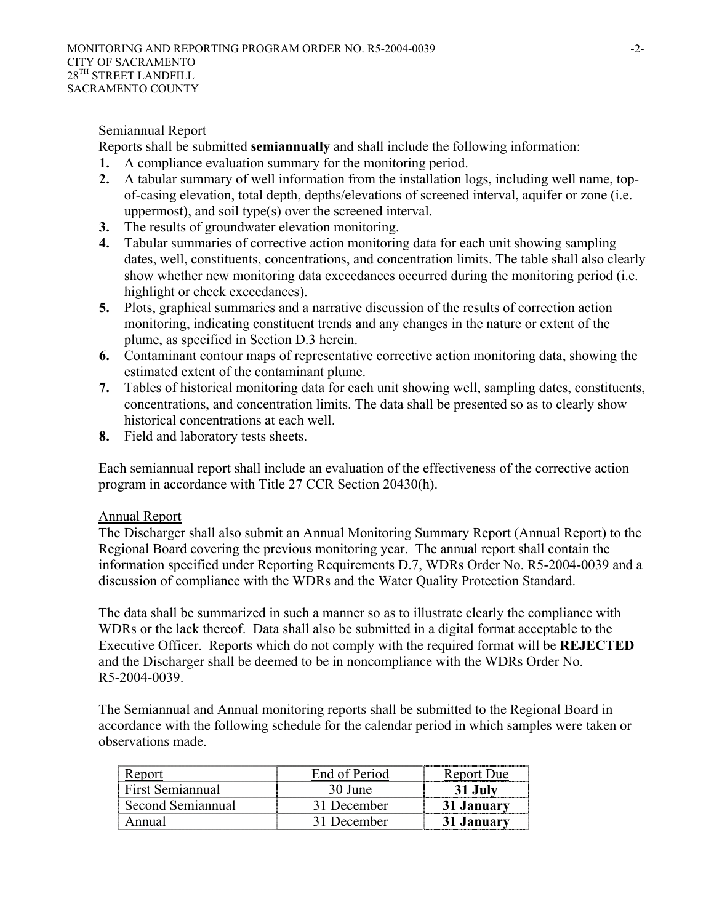#### Semiannual Report

Reports shall be submitted **semiannually** and shall include the following information:

- **1.** A compliance evaluation summary for the monitoring period.
- **2.** A tabular summary of well information from the installation logs, including well name, topof-casing elevation, total depth, depths/elevations of screened interval, aquifer or zone (i.e. uppermost), and soil type(s) over the screened interval.
- **3.** The results of groundwater elevation monitoring.
- **4.** Tabular summaries of corrective action monitoring data for each unit showing sampling dates, well, constituents, concentrations, and concentration limits. The table shall also clearly show whether new monitoring data exceedances occurred during the monitoring period (i.e. highlight or check exceedances).
- **5.** Plots, graphical summaries and a narrative discussion of the results of correction action monitoring, indicating constituent trends and any changes in the nature or extent of the plume, as specified in Section D.3 herein.
- **6.** Contaminant contour maps of representative corrective action monitoring data, showing the estimated extent of the contaminant plume.
- **7.** Tables of historical monitoring data for each unit showing well, sampling dates, constituents, concentrations, and concentration limits. The data shall be presented so as to clearly show historical concentrations at each well.
- **8.** Field and laboratory tests sheets.

Each semiannual report shall include an evaluation of the effectiveness of the corrective action program in accordance with Title 27 CCR Section 20430(h).

#### Annual Report

The Discharger shall also submit an Annual Monitoring Summary Report (Annual Report) to the Regional Board covering the previous monitoring year. The annual report shall contain the information specified under Reporting Requirements D.7, WDRs Order No. R5-2004-0039 and a discussion of compliance with the WDRs and the Water Quality Protection Standard.

The data shall be summarized in such a manner so as to illustrate clearly the compliance with WDRs or the lack thereof. Data shall also be submitted in a digital format acceptable to the Executive Officer. Reports which do not comply with the required format will be **REJECTED** and the Discharger shall be deemed to be in noncompliance with the WDRs Order No. R5-2004-0039.

The Semiannual and Annual monitoring reports shall be submitted to the Regional Board in accordance with the following schedule for the calendar period in which samples were taken or observations made.

| Keport            | End of Period | Report Due |
|-------------------|---------------|------------|
| First Semiannual  | 30 June       |            |
| Second Semiannual | 31 December   | 31 January |
| Annual            | 31 December   | 31 January |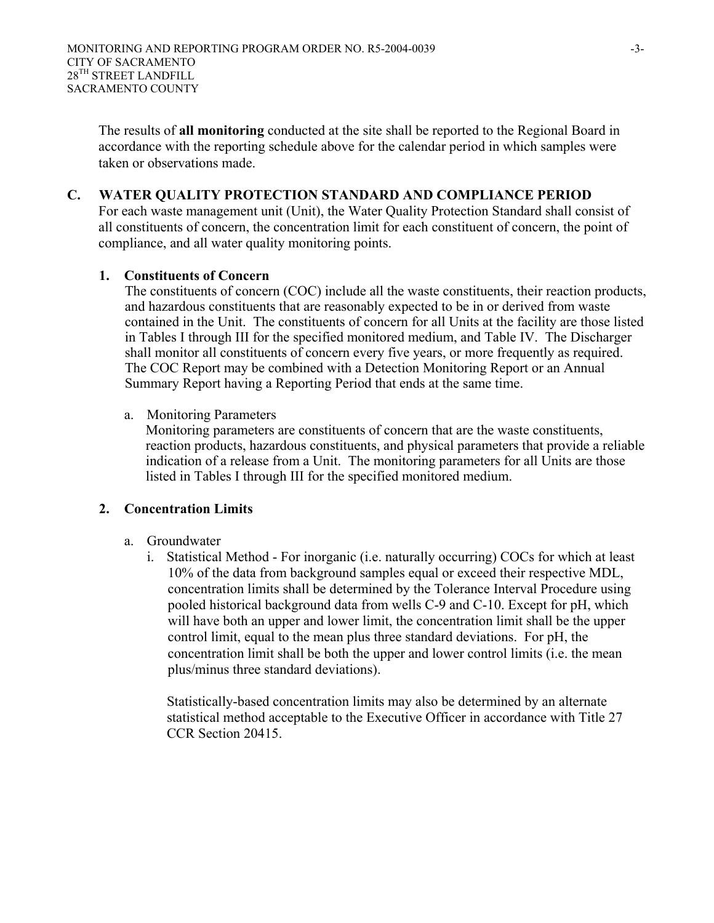The results of **all monitoring** conducted at the site shall be reported to the Regional Board in accordance with the reporting schedule above for the calendar period in which samples were taken or observations made.

#### **C. WATER QUALITY PROTECTION STANDARD AND COMPLIANCE PERIOD**

For each waste management unit (Unit), the Water Quality Protection Standard shall consist of all constituents of concern, the concentration limit for each constituent of concern, the point of compliance, and all water quality monitoring points.

#### **1. Constituents of Concern**

The constituents of concern (COC) include all the waste constituents, their reaction products, and hazardous constituents that are reasonably expected to be in or derived from waste contained in the Unit. The constituents of concern for all Units at the facility are those listed in Tables I through III for the specified monitored medium, and Table IV. The Discharger shall monitor all constituents of concern every five years, or more frequently as required. The COC Report may be combined with a Detection Monitoring Report or an Annual Summary Report having a Reporting Period that ends at the same time.

#### a. Monitoring Parameters

Monitoring parameters are constituents of concern that are the waste constituents, reaction products, hazardous constituents, and physical parameters that provide a reliable indication of a release from a Unit. The monitoring parameters for all Units are those listed in Tables I through III for the specified monitored medium.

#### **2. Concentration Limits**

- a. Groundwater
	- i. Statistical Method For inorganic (i.e. naturally occurring) COCs for which at least 10% of the data from background samples equal or exceed their respective MDL, concentration limits shall be determined by the Tolerance Interval Procedure using pooled historical background data from wells C-9 and C-10. Except for pH, which will have both an upper and lower limit, the concentration limit shall be the upper control limit, equal to the mean plus three standard deviations. For pH, the concentration limit shall be both the upper and lower control limits (i.e. the mean plus/minus three standard deviations).

Statistically-based concentration limits may also be determined by an alternate statistical method acceptable to the Executive Officer in accordance with Title 27 CCR Section 20415.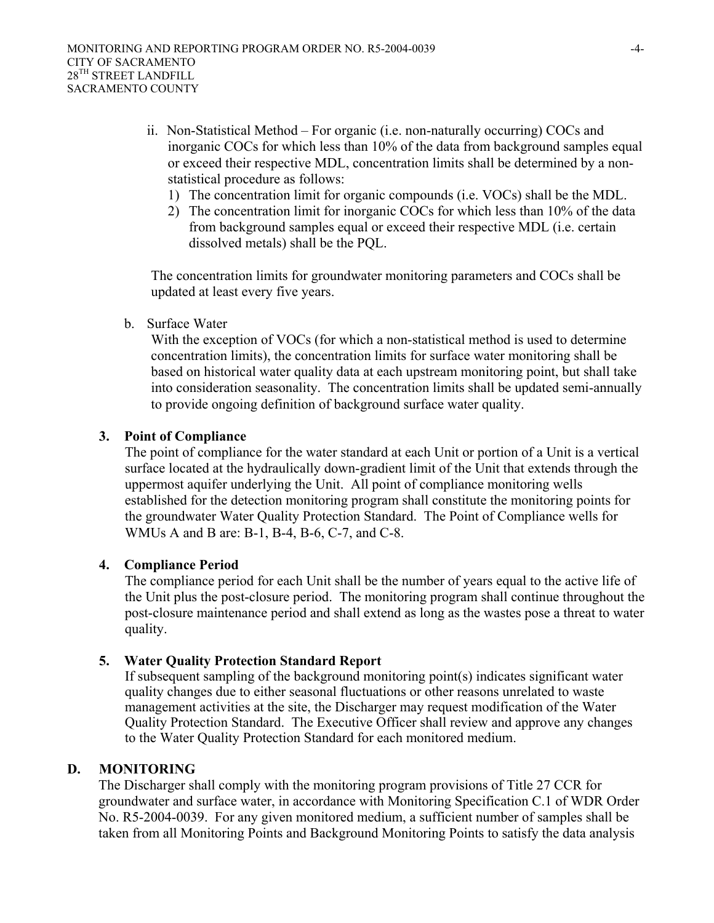- ii. Non-Statistical Method For organic (i.e. non-naturally occurring) COCs and inorganic COCs for which less than 10% of the data from background samples equal or exceed their respective MDL, concentration limits shall be determined by a nonstatistical procedure as follows:
	- 1) The concentration limit for organic compounds (i.e. VOCs) shall be the MDL.
	- 2) The concentration limit for inorganic COCs for which less than 10% of the data from background samples equal or exceed their respective MDL (i.e. certain dissolved metals) shall be the PQL.

The concentration limits for groundwater monitoring parameters and COCs shall be updated at least every five years.

b. Surface Water

With the exception of VOCs (for which a non-statistical method is used to determine concentration limits), the concentration limits for surface water monitoring shall be based on historical water quality data at each upstream monitoring point, but shall take into consideration seasonality. The concentration limits shall be updated semi-annually to provide ongoing definition of background surface water quality.

### **3. Point of Compliance**

The point of compliance for the water standard at each Unit or portion of a Unit is a vertical surface located at the hydraulically down-gradient limit of the Unit that extends through the uppermost aquifer underlying the Unit. All point of compliance monitoring wells established for the detection monitoring program shall constitute the monitoring points for the groundwater Water Quality Protection Standard. The Point of Compliance wells for WMUs A and B are: B-1, B-4, B-6, C-7, and C-8.

#### **4. Compliance Period**

The compliance period for each Unit shall be the number of years equal to the active life of the Unit plus the post-closure period. The monitoring program shall continue throughout the post-closure maintenance period and shall extend as long as the wastes pose a threat to water quality.

#### **5. Water Quality Protection Standard Report**

If subsequent sampling of the background monitoring point(s) indicates significant water quality changes due to either seasonal fluctuations or other reasons unrelated to waste management activities at the site, the Discharger may request modification of the Water Quality Protection Standard. The Executive Officer shall review and approve any changes to the Water Quality Protection Standard for each monitored medium.

#### **D. MONITORING**

The Discharger shall comply with the monitoring program provisions of Title 27 CCR for groundwater and surface water, in accordance with Monitoring Specification C.1 of WDR Order No. R5-2004-0039. For any given monitored medium, a sufficient number of samples shall be taken from all Monitoring Points and Background Monitoring Points to satisfy the data analysis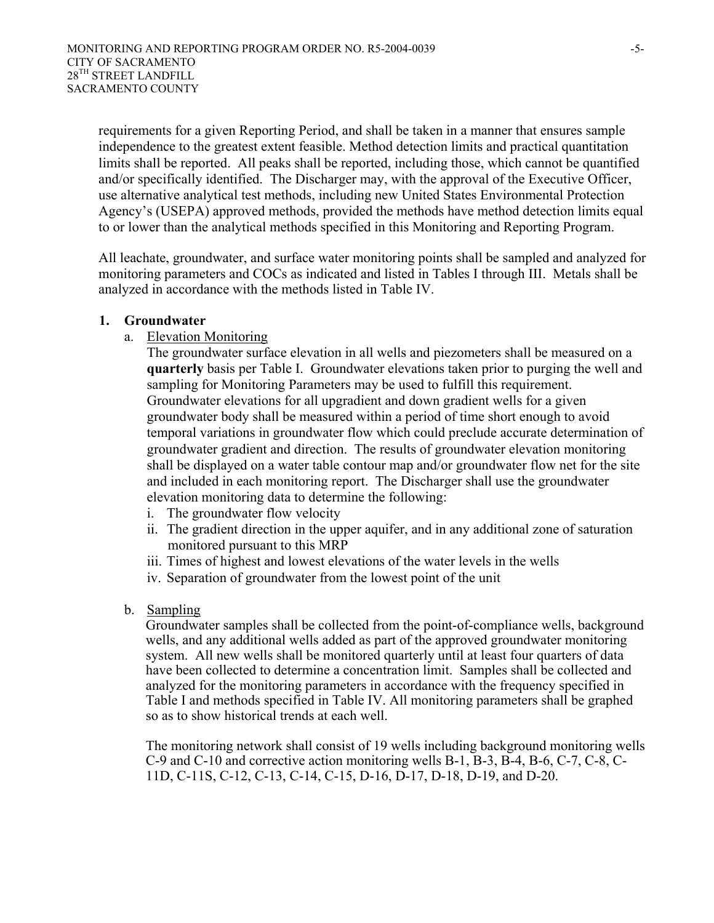requirements for a given Reporting Period, and shall be taken in a manner that ensures sample independence to the greatest extent feasible. Method detection limits and practical quantitation limits shall be reported. All peaks shall be reported, including those, which cannot be quantified and/or specifically identified. The Discharger may, with the approval of the Executive Officer, use alternative analytical test methods, including new United States Environmental Protection Agency's (USEPA) approved methods, provided the methods have method detection limits equal to or lower than the analytical methods specified in this Monitoring and Reporting Program.

All leachate, groundwater, and surface water monitoring points shall be sampled and analyzed for monitoring parameters and COCs as indicated and listed in Tables I through III. Metals shall be analyzed in accordance with the methods listed in Table IV.

#### **1. Groundwater**

a. Elevation Monitoring

The groundwater surface elevation in all wells and piezometers shall be measured on a **quarterly** basis per Table I. Groundwater elevations taken prior to purging the well and sampling for Monitoring Parameters may be used to fulfill this requirement. Groundwater elevations for all upgradient and down gradient wells for a given groundwater body shall be measured within a period of time short enough to avoid temporal variations in groundwater flow which could preclude accurate determination of groundwater gradient and direction. The results of groundwater elevation monitoring shall be displayed on a water table contour map and/or groundwater flow net for the site and included in each monitoring report. The Discharger shall use the groundwater elevation monitoring data to determine the following:

- i. The groundwater flow velocity
- ii. The gradient direction in the upper aquifer, and in any additional zone of saturation monitored pursuant to this MRP
- iii. Times of highest and lowest elevations of the water levels in the wells
- iv. Separation of groundwater from the lowest point of the unit
- b. Sampling

Groundwater samples shall be collected from the point-of-compliance wells, background wells, and any additional wells added as part of the approved groundwater monitoring system. All new wells shall be monitored quarterly until at least four quarters of data have been collected to determine a concentration limit. Samples shall be collected and analyzed for the monitoring parameters in accordance with the frequency specified in Table I and methods specified in Table IV. All monitoring parameters shall be graphed so as to show historical trends at each well.

The monitoring network shall consist of 19 wells including background monitoring wells C-9 and C-10 and corrective action monitoring wells B-1, B-3, B-4, B-6, C-7, C-8, C-11D, C-11S, C-12, C-13, C-14, C-15, D-16, D-17, D-18, D-19, and D-20.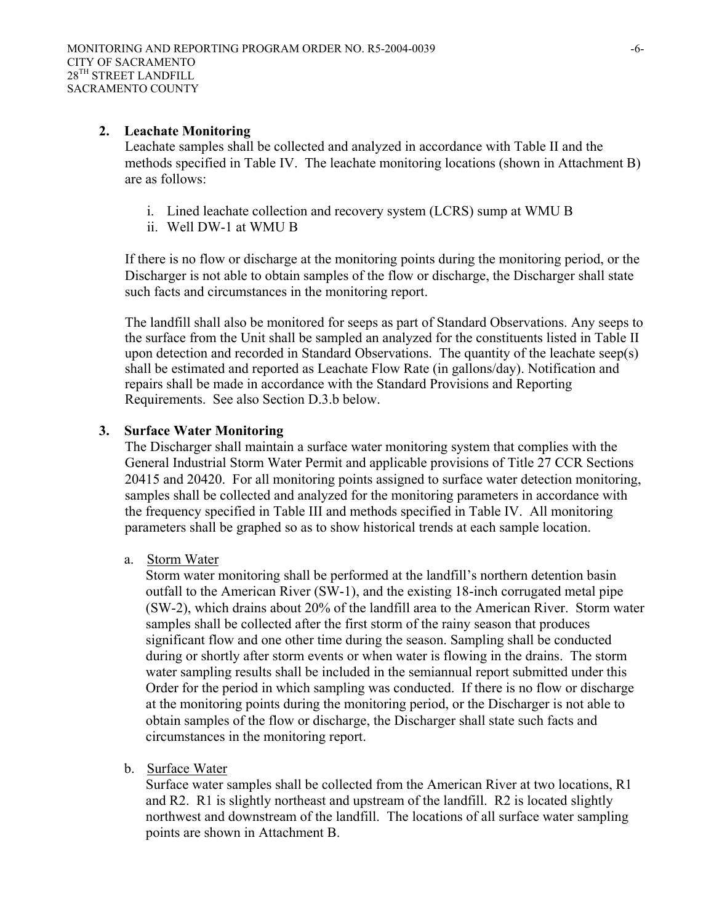#### **2. Leachate Monitoring**

Leachate samples shall be collected and analyzed in accordance with Table II and the methods specified in Table IV. The leachate monitoring locations (shown in Attachment B) are as follows:

- i. Lined leachate collection and recovery system (LCRS) sump at WMU B
- ii. Well DW-1 at WMU B

If there is no flow or discharge at the monitoring points during the monitoring period, or the Discharger is not able to obtain samples of the flow or discharge, the Discharger shall state such facts and circumstances in the monitoring report.

The landfill shall also be monitored for seeps as part of Standard Observations. Any seeps to the surface from the Unit shall be sampled an analyzed for the constituents listed in Table II upon detection and recorded in Standard Observations. The quantity of the leachate seep(s) shall be estimated and reported as Leachate Flow Rate (in gallons/day). Notification and repairs shall be made in accordance with the Standard Provisions and Reporting Requirements. See also Section D.3.b below.

#### **3. Surface Water Monitoring**

The Discharger shall maintain a surface water monitoring system that complies with the General Industrial Storm Water Permit and applicable provisions of Title 27 CCR Sections 20415 and 20420. For all monitoring points assigned to surface water detection monitoring, samples shall be collected and analyzed for the monitoring parameters in accordance with the frequency specified in Table III and methods specified in Table IV. All monitoring parameters shall be graphed so as to show historical trends at each sample location.

a. Storm Water

Storm water monitoring shall be performed at the landfill's northern detention basin outfall to the American River (SW-1), and the existing 18-inch corrugated metal pipe (SW-2), which drains about 20% of the landfill area to the American River. Storm water samples shall be collected after the first storm of the rainy season that produces significant flow and one other time during the season. Sampling shall be conducted during or shortly after storm events or when water is flowing in the drains. The storm water sampling results shall be included in the semiannual report submitted under this Order for the period in which sampling was conducted. If there is no flow or discharge at the monitoring points during the monitoring period, or the Discharger is not able to obtain samples of the flow or discharge, the Discharger shall state such facts and circumstances in the monitoring report.

b. Surface Water

Surface water samples shall be collected from the American River at two locations, R1 and R2. R1 is slightly northeast and upstream of the landfill. R2 is located slightly northwest and downstream of the landfill. The locations of all surface water sampling points are shown in Attachment B.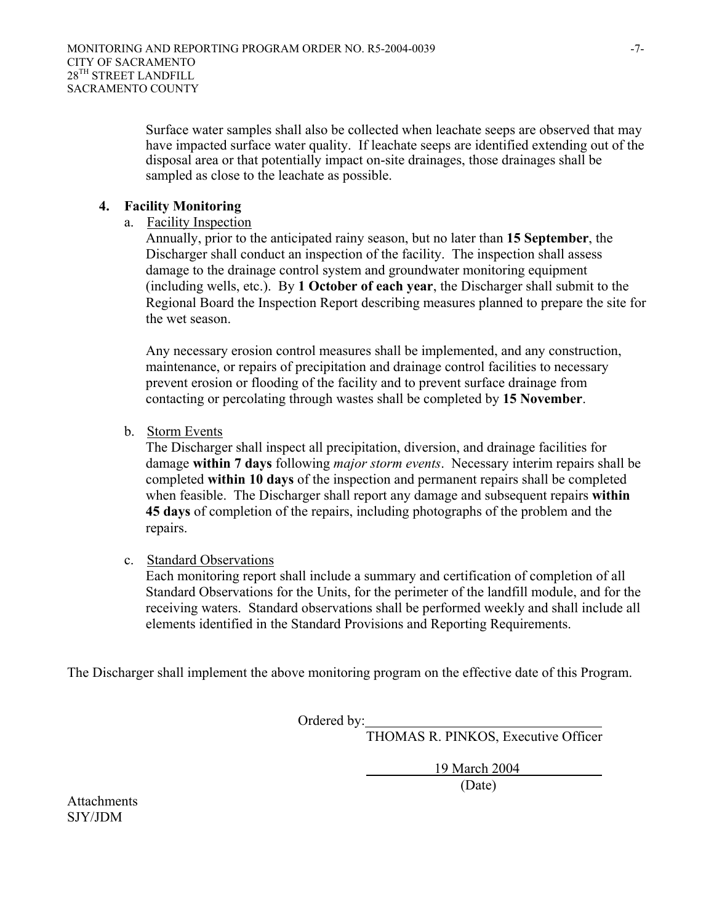Surface water samples shall also be collected when leachate seeps are observed that may have impacted surface water quality. If leachate seeps are identified extending out of the disposal area or that potentially impact on-site drainages, those drainages shall be sampled as close to the leachate as possible.

#### **4. Facility Monitoring**

a. Facility Inspection

Annually, prior to the anticipated rainy season, but no later than **15 September**, the Discharger shall conduct an inspection of the facility. The inspection shall assess damage to the drainage control system and groundwater monitoring equipment (including wells, etc.). By **1 October of each year**, the Discharger shall submit to the Regional Board the Inspection Report describing measures planned to prepare the site for the wet season.

Any necessary erosion control measures shall be implemented, and any construction, maintenance, or repairs of precipitation and drainage control facilities to necessary prevent erosion or flooding of the facility and to prevent surface drainage from contacting or percolating through wastes shall be completed by **15 November**.

b. Storm Events

The Discharger shall inspect all precipitation, diversion, and drainage facilities for damage **within 7 days** following *major storm events*. Necessary interim repairs shall be completed **within 10 days** of the inspection and permanent repairs shall be completed when feasible. The Discharger shall report any damage and subsequent repairs **within 45 days** of completion of the repairs, including photographs of the problem and the repairs.

c. Standard Observations

Each monitoring report shall include a summary and certification of completion of all Standard Observations for the Units, for the perimeter of the landfill module, and for the receiving waters. Standard observations shall be performed weekly and shall include all elements identified in the Standard Provisions and Reporting Requirements.

The Discharger shall implement the above monitoring program on the effective date of this Program.

Ordered by:

THOMAS R. PINKOS, Executive Officer

 19 March 2004 (Date)

Attachments SJY/JDM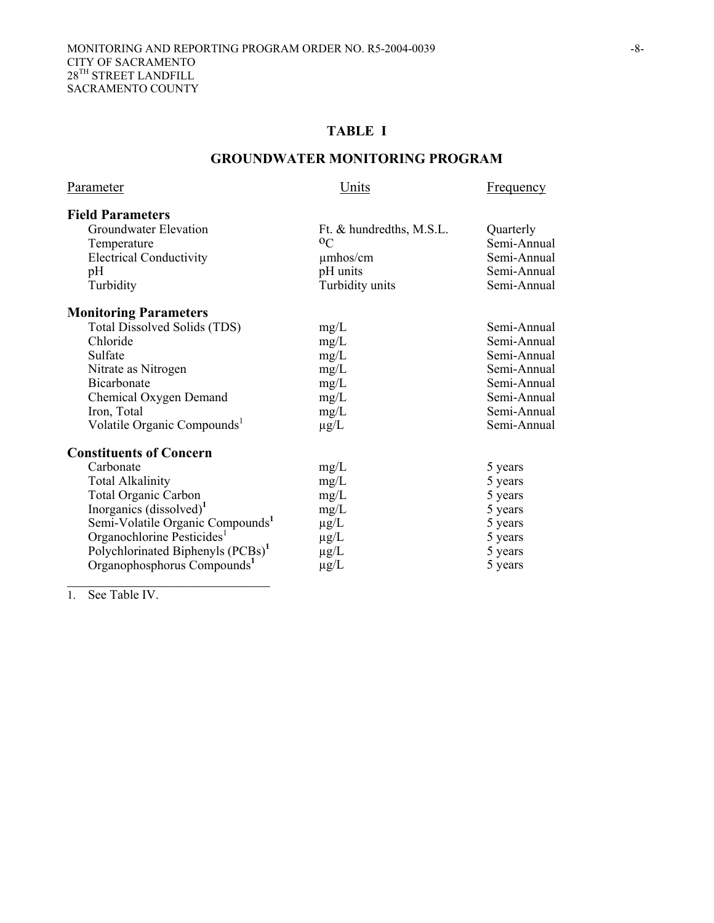# **TABLE I**

#### **GROUNDWATER MONITORING PROGRAM**

| Parameter                                     | Units                    | Frequency   |
|-----------------------------------------------|--------------------------|-------------|
| <b>Field Parameters</b>                       |                          |             |
| Groundwater Elevation                         | Ft. & hundredths, M.S.L. | Quarterly   |
| Temperature                                   | $^{\rm o}$ C             | Semi-Annual |
| <b>Electrical Conductivity</b>                | $\mu$ mhos/cm            | Semi-Annual |
| pH                                            | pH units                 | Semi-Annual |
| Turbidity                                     | Turbidity units          | Semi-Annual |
| <b>Monitoring Parameters</b>                  |                          |             |
| Total Dissolved Solids (TDS)                  | mg/L                     | Semi-Annual |
| Chloride                                      | mg/L                     | Semi-Annual |
| Sulfate                                       | mg/L                     | Semi-Annual |
| Nitrate as Nitrogen                           | mg/L                     | Semi-Annual |
| <b>Bicarbonate</b>                            | mg/L                     | Semi-Annual |
| Chemical Oxygen Demand                        | mg/L                     | Semi-Annual |
| Iron, Total                                   | mg/L                     | Semi-Annual |
| Volatile Organic Compounds <sup>1</sup>       | $\mu$ g/L                | Semi-Annual |
| <b>Constituents of Concern</b>                |                          |             |
| Carbonate                                     | mg/L                     | 5 years     |
| <b>Total Alkalinity</b>                       | mg/L                     | 5 years     |
| Total Organic Carbon                          | mg/L                     | 5 years     |
| Inorganics $(dissolved)^1$                    | mg/L                     | 5 years     |
| Semi-Volatile Organic Compounds <sup>1</sup>  | $\mu$ g/L                | 5 years     |
| Organochlorine Pesticides <sup>1</sup>        | µg/L                     | 5 years     |
| Polychlorinated Biphenyls (PCBs) <sup>1</sup> | $\mu$ g/L                | 5 years     |
| Organophosphorus Compounds <sup>1</sup>       | $\mu$ g/L                | 5 years     |

1. See Table IV.

 $\mathcal{L}_\text{max}$  , and the set of the set of the set of the set of the set of the set of the set of the set of the set of the set of the set of the set of the set of the set of the set of the set of the set of the set of the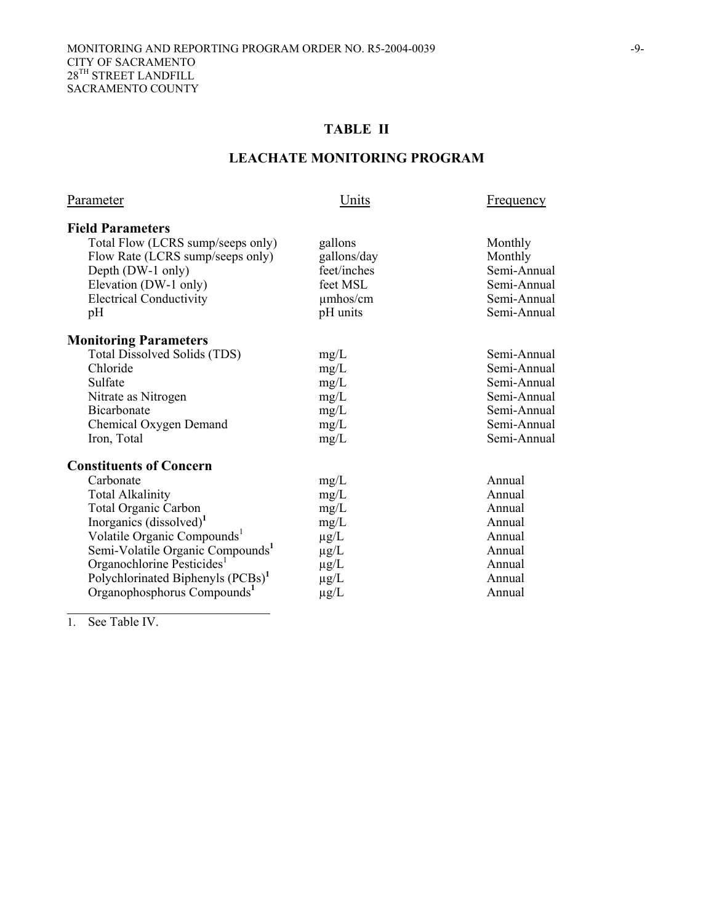# **TABLE II**

# **LEACHATE MONITORING PROGRAM**

| Parameter                                     | Units       | Frequency   |
|-----------------------------------------------|-------------|-------------|
| <b>Field Parameters</b>                       |             |             |
| Total Flow (LCRS sump/seeps only)             | gallons     | Monthly     |
| Flow Rate (LCRS sump/seeps only)              | gallons/day | Monthly     |
| Depth (DW-1 only)                             | feet/inches | Semi-Annual |
| Elevation (DW-1 only)                         | feet MSL    | Semi-Annual |
| <b>Electrical Conductivity</b>                | umhos/cm    | Semi-Annual |
| pH                                            | pH units    | Semi-Annual |
| <b>Monitoring Parameters</b>                  |             |             |
| <b>Total Dissolved Solids (TDS)</b>           | mg/L        | Semi-Annual |
| Chloride                                      | mg/L        | Semi-Annual |
| Sulfate                                       | mg/L        | Semi-Annual |
| Nitrate as Nitrogen                           | mg/L        | Semi-Annual |
| <b>Bicarbonate</b>                            | mg/L        | Semi-Annual |
| Chemical Oxygen Demand                        | mg/L        | Semi-Annual |
| Iron, Total                                   | mg/L        | Semi-Annual |
| <b>Constituents of Concern</b>                |             |             |
| Carbonate                                     | mg/L        | Annual      |
| <b>Total Alkalinity</b>                       | mg/L        | Annual      |
| <b>Total Organic Carbon</b>                   | mg/L        | Annual      |
| Inorganics $(dissolved)^1$                    | mg/L        | Annual      |
| Volatile Organic Compounds <sup>1</sup>       | $\mu$ g/L   | Annual      |
| Semi-Volatile Organic Compounds <sup>1</sup>  | $\mu$ g/L   | Annual      |
| Organochlorine Pesticides <sup>1</sup>        | $\mu$ g/L   | Annual      |
| Polychlorinated Biphenyls (PCBs) <sup>1</sup> | $\mu$ g/L   | Annual      |
| Organophosphorus Compounds <sup>1</sup>       | $\mu$ g/L   | Annual      |
|                                               |             |             |

1. See Table IV.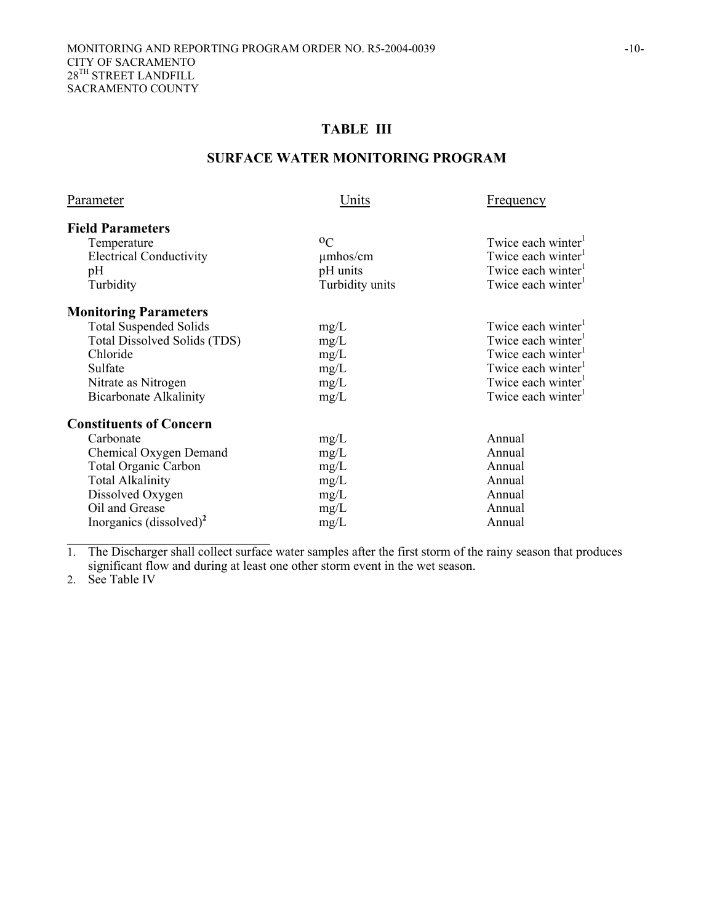# **TABLE III**

#### **SURFACE WATER MONITORING PROGRAM**

| Parameter                      | Units           | <b>Frequency</b>               |
|--------------------------------|-----------------|--------------------------------|
| <b>Field Parameters</b>        |                 |                                |
| Temperature                    | $^{0}C$         | Twice each winter <sup>1</sup> |
| <b>Electrical Conductivity</b> | $\mu$ mhos/cm   | Twice each winter <sup>1</sup> |
| pH                             | pH units        | Twice each winter <sup>1</sup> |
| Turbidity                      | Turbidity units | Twice each winter <sup>1</sup> |
| <b>Monitoring Parameters</b>   |                 |                                |
| <b>Total Suspended Solids</b>  | mg/L            | Twice each winter <sup>1</sup> |
| Total Dissolved Solids (TDS)   | mg/L            | Twice each winter <sup>1</sup> |
| Chloride                       | mg/L            | Twice each winter <sup>1</sup> |
| Sulfate                        | mg/L            | Twice each winter <sup>1</sup> |
| Nitrate as Nitrogen            | mg/L            | Twice each winter              |
| <b>Bicarbonate Alkalinity</b>  | mg/L            | Twice each winter <sup>1</sup> |
| <b>Constituents of Concern</b> |                 |                                |
| Carbonate                      | mg/L            | Annual                         |
| Chemical Oxygen Demand         | mg/L            | Annual                         |
| <b>Total Organic Carbon</b>    | mg/L            | Annual                         |
| <b>Total Alkalinity</b>        | mg/L            | Annual                         |
| Dissolved Oxygen               | mg/L            | Annual                         |
| Oil and Grease                 | mg/L            | Annual                         |
| Inorganics $(dissolved)^2$     | mg/L            | Annual                         |

1. The Discharger shall collect surface water samples after the first storm of the rainy season that produces significant flow and during at least one other storm event in the wet season.

2. See Table IV

 $\mathcal{L}_\text{max}$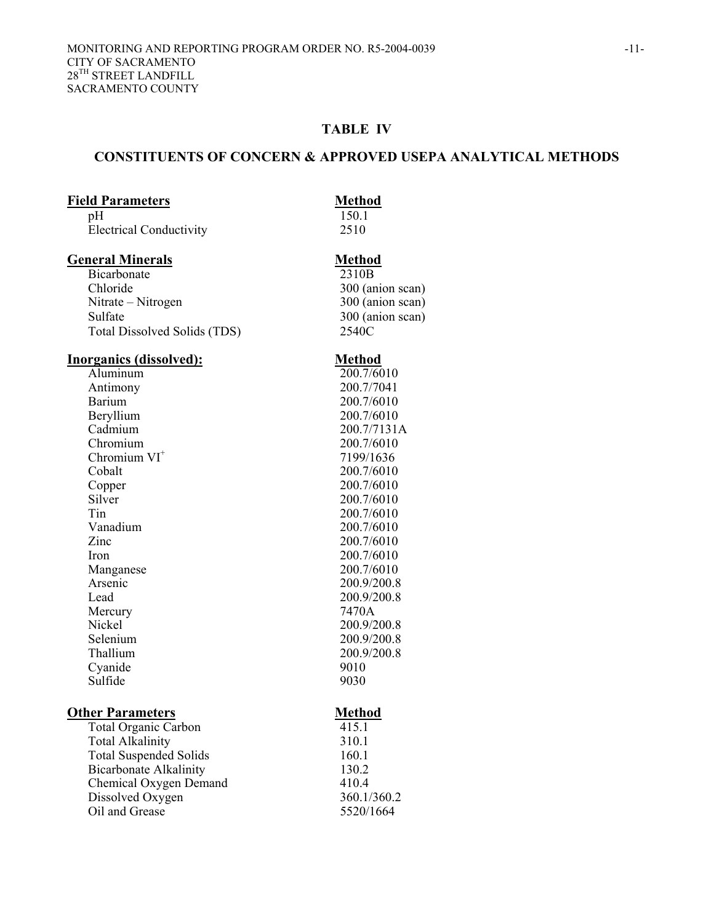### **TABLE IV**

#### **CONSTITUENTS OF CONCERN & APPROVED USEPA ANALYTICAL METHODS**

#### **Field Parameters Method**

pH 150.1 Electrical Conductivity2510

#### **General Minerals** Method

Bicarbonate 2310B<br>Chloride 300 (an Nitrate – Nitrogen 300 (anion scan) Sulfate 300 (anion scan) Total Dissolved Solids (TDS) 2540C

# **Inorganics (dissolved):**<br>Aluminum 200.7/60

Barium 200.7/6010 Beryllium 200.7/6010<br>Cadmium 200.7/7131 Cadmium 200.7/7131A<br>Chromium 200.7/6010 Chromium  $VI^+$ Cobalt 200.7/6010 Copper 200.7/6010<br>Silver 200.7/6010 Silver 200.7/6010<br>Tin 200.7/6010 Tin 200.7/6010<br>Vanadium 200.7/6010 Vanadium 200.7/6010<br>
Zinc 200.7/6010 Iron 200.7/6010 Manganese 200.7/6010<br>Arsenic 200.9/200.8 Lead 200.9/200.8 Mercury 7470A Nickel 200.9/200.8 Selenium 200.9/200.8<br>Thallium 200.9/200.8 Cyanide 9010<br>Sulfide 9030 Sulfide

#### **Other Parameters** Method

Total Organic Carbon 415.1 Total Alkalinity 310.1 Total Suspended Solids 160.1 Bicarbonate Alkalinity 130.2 Chemical Oxygen Demand 410.4 Dissolved Oxygen 360.1/360.2 Oil and Grease 5520/1664

300 (anion scan)

Aluminum<br>
Antimony 200.7/6010<br>
200.7/7041 Antimony 200.7/7041 200.7/6010 7199/1636 200.7/6010 200.9/200.8 200.9/200.8<br>9010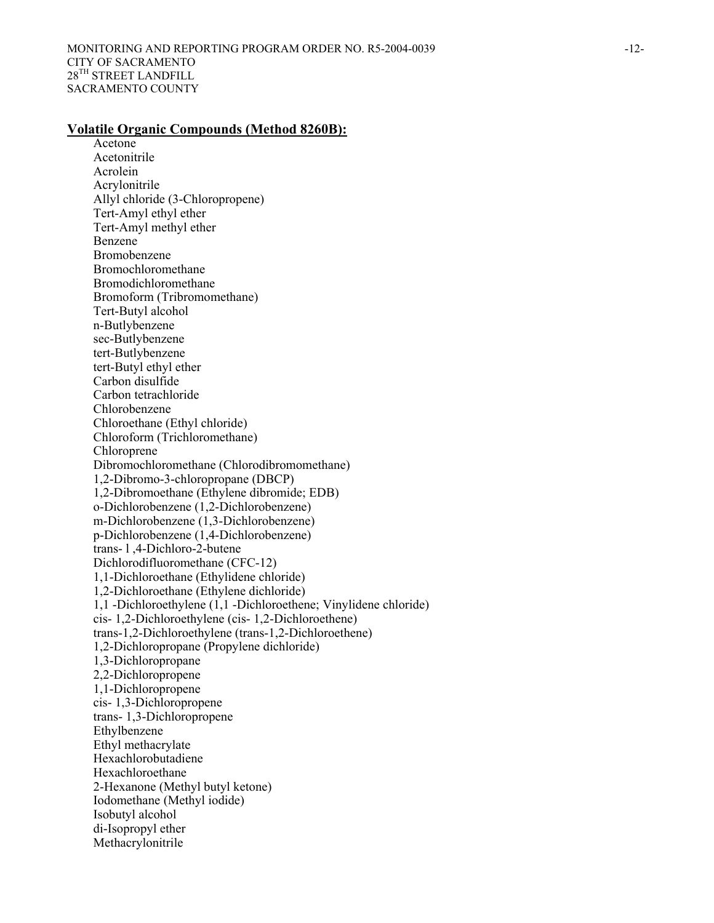#### **Volatile Organic Compounds (Method 8260B):**

 Acetone Acetonitrile Acrolein Acrylonitrile Allyl chloride (3-Chloropropene) Tert-Amyl ethyl ether Tert-Amyl methyl ether Benzene Bromobenzene Bromochloromethane Bromodichloromethane Bromoform (Tribromomethane) Tert-Butyl alcohol n-Butlybenzene sec-Butlybenzene tert-Butlybenzene tert-Butyl ethyl ether Carbon disulfide Carbon tetrachloride Chlorobenzene Chloroethane (Ethyl chloride) Chloroform (Trichloromethane) Chloroprene Dibromochloromethane (Chlorodibromomethane) 1,2-Dibromo-3-chloropropane (DBCP) 1,2-Dibromoethane (Ethylene dibromide; EDB) o-Dichlorobenzene (1,2-Dichlorobenzene) m-Dichlorobenzene (1,3-Dichlorobenzene) p-Dichlorobenzene (1,4-Dichlorobenzene) trans- l ,4-Dichloro-2-butene Dichlorodifluoromethane (CFC-12) 1,1-Dichloroethane (Ethylidene chloride) 1,2-Dichloroethane (Ethylene dichloride) 1,1 -Dichloroethylene (1,1 -Dichloroethene; Vinylidene chloride) cis- 1,2-Dichloroethylene (cis- 1,2-Dichloroethene) trans-1,2-Dichloroethylene (trans-1,2-Dichloroethene) 1,2-Dichloropropane (Propylene dichloride) 1,3-Dichloropropane 2,2-Dichloropropene 1,1-Dichloropropene cis- 1,3-Dichloropropene trans- 1,3-Dichloropropene Ethylbenzene Ethyl methacrylate Hexachlorobutadiene Hexachloroethane 2-Hexanone (Methyl butyl ketone) Iodomethane (Methyl iodide) Isobutyl alcohol di-Isopropyl ether Methacrylonitrile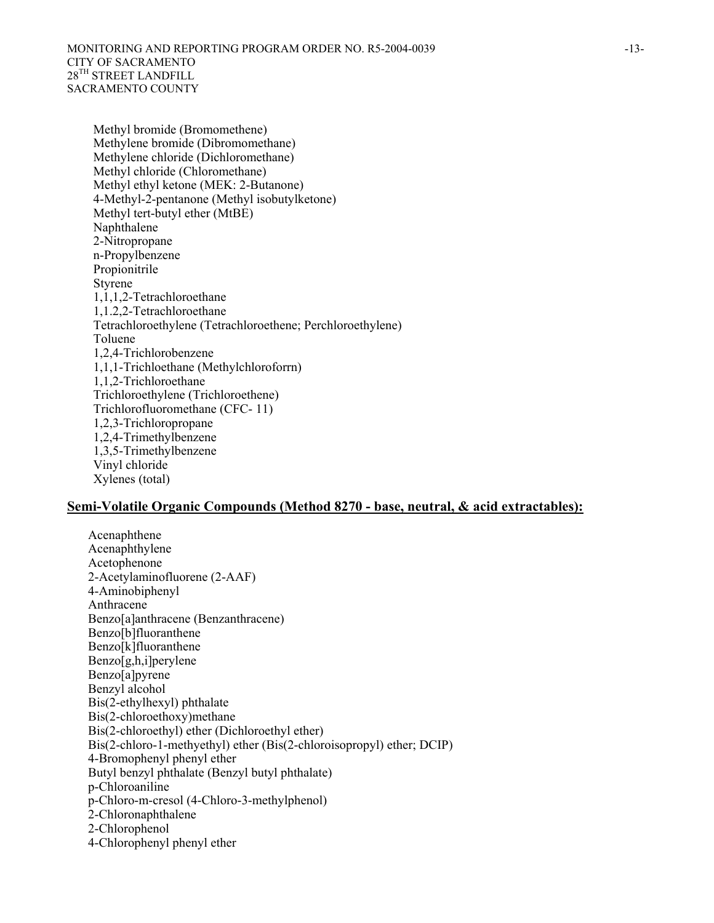Methyl bromide (Bromomethene) Methylene bromide (Dibromomethane) Methylene chloride (Dichloromethane) Methyl chloride (Chloromethane) Methyl ethyl ketone (MEK: 2-Butanone) 4-Methyl-2-pentanone (Methyl isobutylketone) Methyl tert-butyl ether (MtBE) Naphthalene 2-Nitropropane n-Propylbenzene Propionitrile Styrene 1,1,1,2-Tetrachloroethane 1,1.2,2-Tetrachloroethane Tetrachloroethylene (Tetrachloroethene; Perchloroethylene) Toluene 1,2,4-Trichlorobenzene 1,1,1-Trichloethane (Methylchloroforrn) 1,1,2-Trichloroethane Trichloroethylene (Trichloroethene) Trichlorofluoromethane (CFC- 11) 1,2,3-Trichloropropane 1,2,4-Trimethylbenzene 1,3,5-Trimethylbenzene Vinyl chloride Xylenes (total)

#### **Semi-Volatile Organic Compounds (Method 8270 - base, neutral, & acid extractables):**

Acenaphthene Acenaphthylene Acetophenone 2-Acetylaminofluorene (2-AAF) 4-Aminobiphenyl Anthracene Benzo[a]anthracene (Benzanthracene) Benzo[b]fluoranthene Benzo[k]fluoranthene Benzo[g,h,i]perylene Benzo[a]pyrene Benzyl alcohol Bis(2-ethylhexyl) phthalate Bis(2-chloroethoxy)methane Bis(2-chloroethyl) ether (Dichloroethyl ether) Bis(2-chloro-1-methyethyl) ether (Bis(2-chloroisopropyl) ether; DCIP) 4-Bromophenyl phenyl ether Butyl benzyl phthalate (Benzyl butyl phthalate) p-Chloroaniline p-Chloro-m-cresol (4-Chloro-3-methylphenol) 2-Chloronaphthalene 2-Chlorophenol 4-Chlorophenyl phenyl ether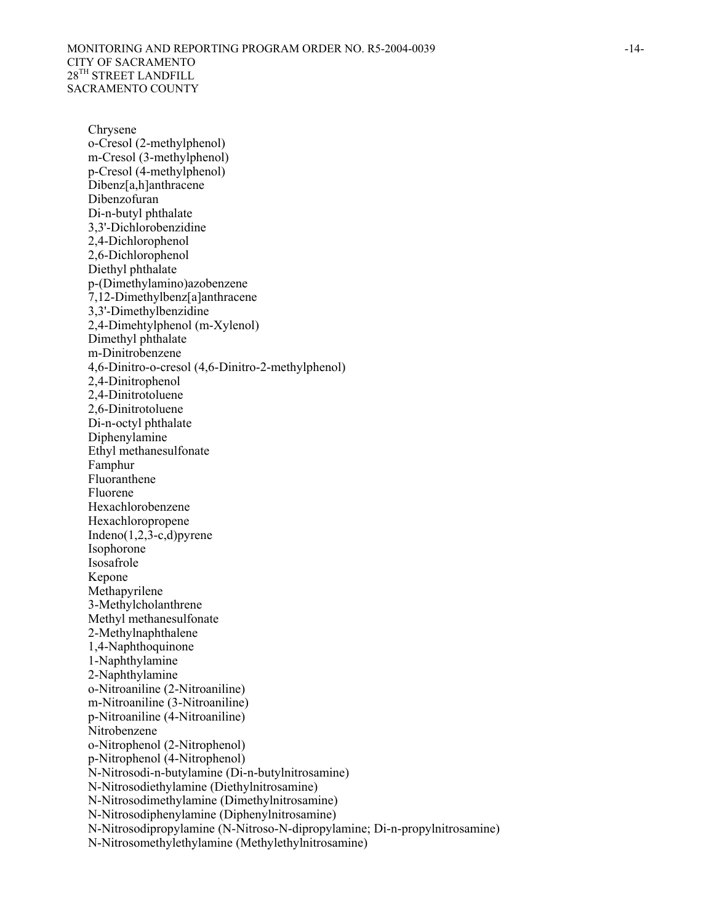Chrysene o-Cresol (2-methylphenol) m-Cresol (3-methylphenol) p-Cresol (4-methylphenol) Dibenz[a,h]anthracene Dibenzofuran Di-n-butyl phthalate 3,3'-Dichlorobenzidine 2,4-Dichlorophenol 2,6-Dichlorophenol Diethyl phthalate p-(Dimethylamino)azobenzene 7,12-Dimethylbenz[a]anthracene 3,3'-Dimethylbenzidine 2,4-Dimehtylphenol (m-Xylenol) Dimethyl phthalate m-Dinitrobenzene 4,6-Dinitro-o-cresol (4,6-Dinitro-2-methylphenol) 2,4-Dinitrophenol 2,4-Dinitrotoluene 2,6-Dinitrotoluene Di-n-octyl phthalate Diphenylamine Ethyl methanesulfonate Famphur Fluoranthene Fluorene Hexachlorobenzene Hexachloropropene Indeno $(1,2,3-c,d)$ pyrene Isophorone Isosafrole Kepone Methapyrilene 3-Methylcholanthrene Methyl methanesulfonate 2-Methylnaphthalene 1,4-Naphthoquinone 1-Naphthylamine 2-Naphthylamine o-Nitroaniline (2-Nitroaniline) m-Nitroaniline (3-Nitroaniline) p-Nitroaniline (4-Nitroaniline) Nitrobenzene o-Nitrophenol (2-Nitrophenol) p-Nitrophenol (4-Nitrophenol) N-Nitrosodi-n-butylamine (Di-n-butylnitrosamine) N-Nitrosodiethylamine (Diethylnitrosamine) N-Nitrosodimethylamine (Dimethylnitrosamine) N-Nitrosodiphenylamine (Diphenylnitrosamine) N-Nitrosodipropylamine (N-Nitroso-N-dipropylamine; Di-n-propylnitrosamine) N-Nitrosomethylethylamine (Methylethylnitrosamine)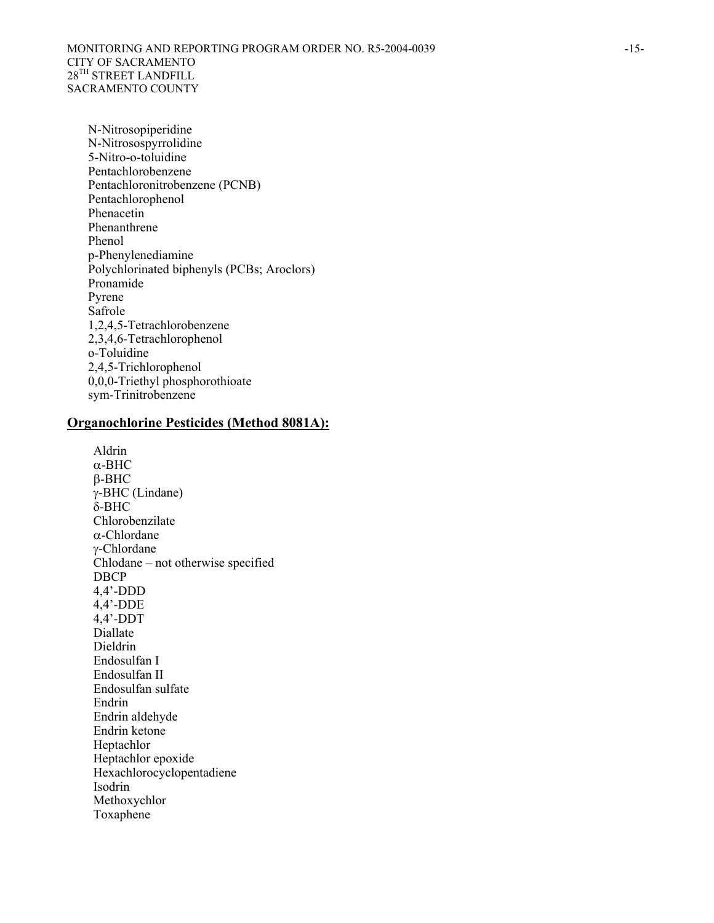N-Nitrosopiperidine N-Nitrosospyrrolidine 5-Nitro-o-toluidine Pentachlorobenzene Pentachloronitrobenzene (PCNB) Pentachlorophenol Phenacetin Phenanthrene Phenol p-Phenylenediamine Polychlorinated biphenyls (PCBs; Aroclors) Pronamide Pyrene Safrole 1,2,4,5-Tetrachlorobenzene 2,3,4,6-Tetrachlorophenol o-Toluidine 2,4,5-Trichlorophenol 0,0,0-Triethyl phosphorothioate sym-Trinitrobenzene

#### **Organochlorine Pesticides (Method 8081A):**

Aldrin α-BHC β-BHC γ-BHC (Lindane) δ-BHC Chlorobenzilate α-Chlordane γ-Chlordane Chlodane – not otherwise specified DBCP 4,4'-DDD 4,4'-DDE 4,4'-DDT Diallate Dieldrin Endosulfan I Endosulfan II Endosulfan sulfate Endrin Endrin aldehyde Endrin ketone Heptachlor Heptachlor epoxide Hexachlorocyclopentadiene Isodrin Methoxychlor Toxaphene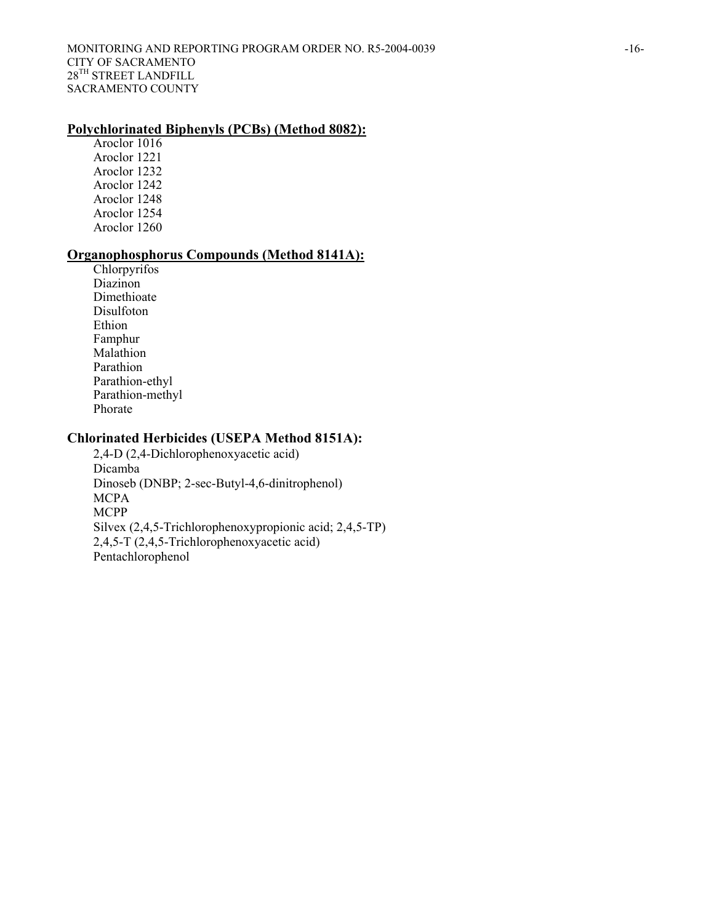#### **Polychlorinated Biphenyls (PCBs) (Method 8082):**

Aroclor 1016 Aroclor 1221 Aroclor 1232 Aroclor 1242 Aroclor 1248 Aroclor 1254 Aroclor 1260

# **Organophosphorus Compounds (Method 8141A):**

Chlorpyrifos Diazinon Dimethioate Disulfoton Ethion Famphur Malathion Parathion Parathion-ethyl Parathion-methyl Phorate

# **Chlorinated Herbicides (USEPA Method 8151A):**

2,4-D (2,4-Dichlorophenoxyacetic acid) Dicamba Dinoseb (DNBP; 2-sec-Butyl-4,6-dinitrophenol) **MCPA** MCPP Silvex (2,4,5-Trichlorophenoxypropionic acid; 2,4,5-TP) 2,4,5-T (2,4,5-Trichlorophenoxyacetic acid) Pentachlorophenol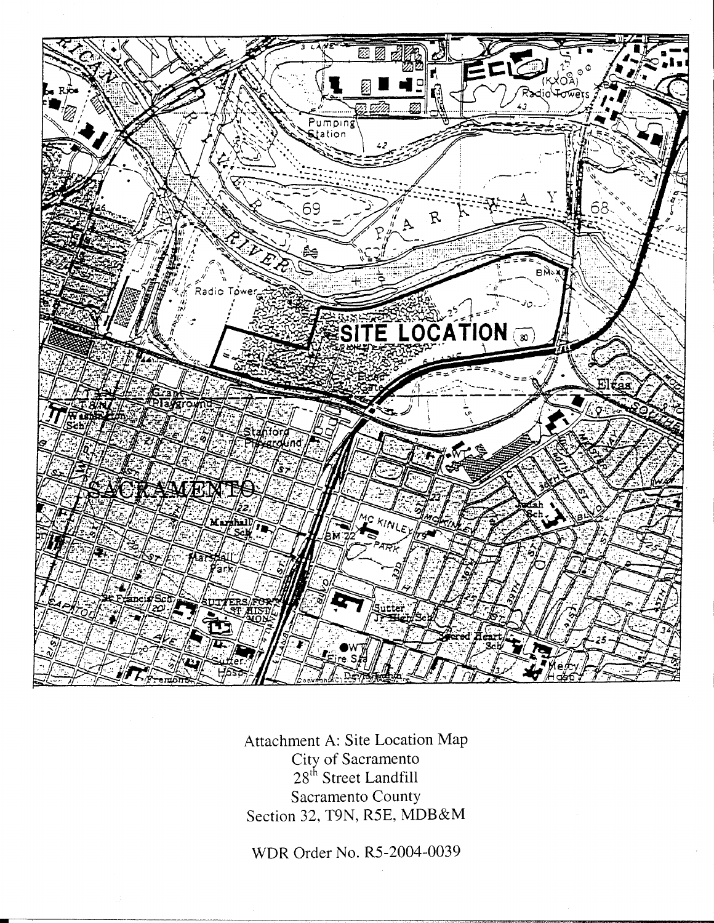

Attachment A: Site Location Map City of Sacramento<br>28<sup>th</sup> Street Landfill Sacramento County Section 32, T9N, R5E, MDB&M

WDR Order No. R5-2004-0039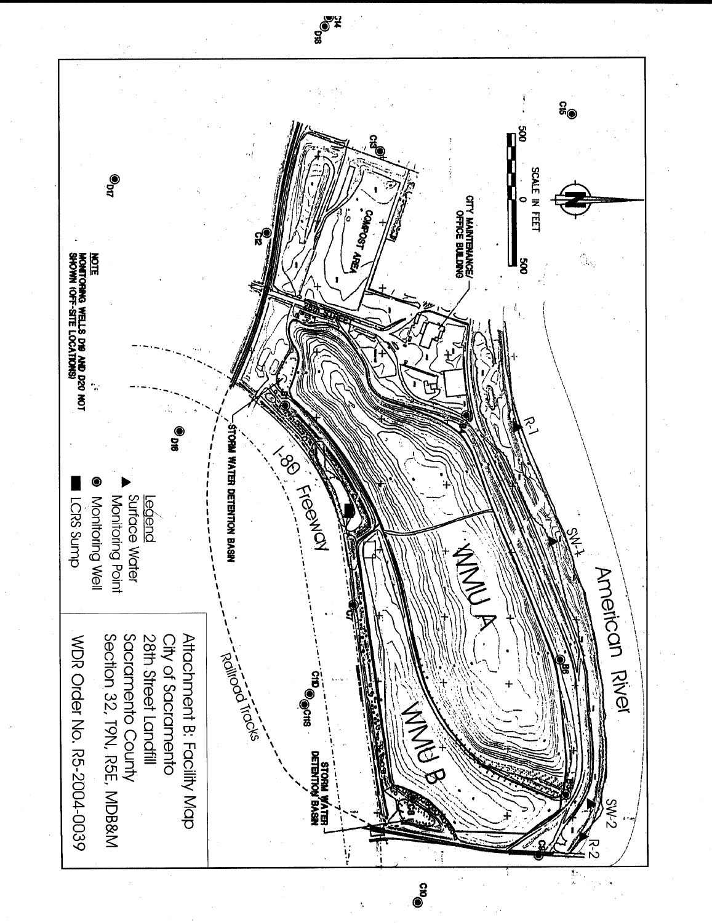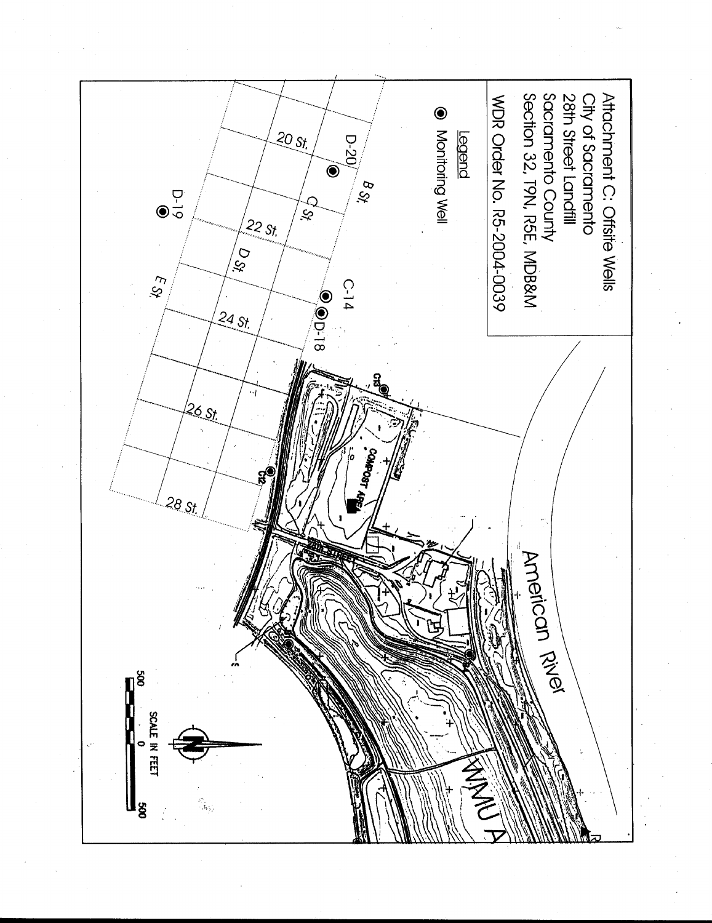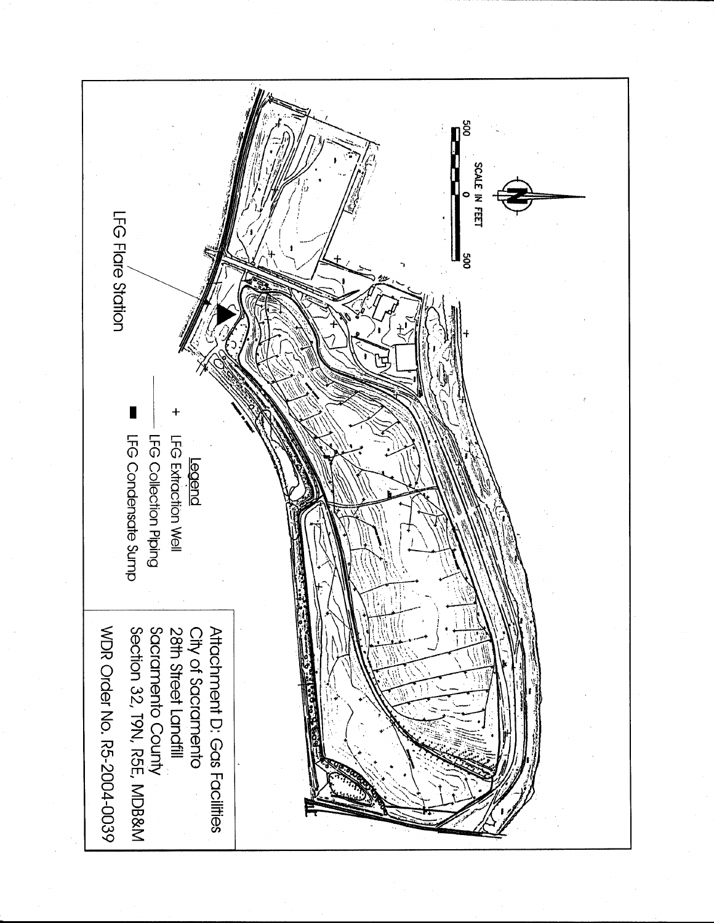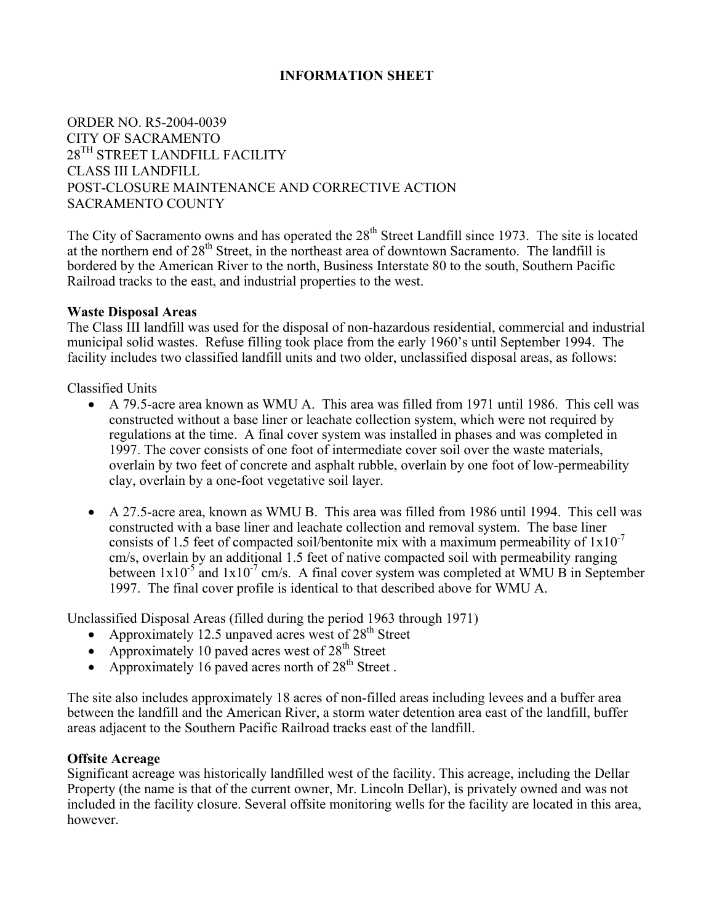#### **INFORMATION SHEET**

# ORDER NO. R5-2004-0039 CITY OF SACRAMENTO  $28^{TH}$  STREET LANDFILL FACILITY CLASS III LANDFILL POST-CLOSURE MAINTENANCE AND CORRECTIVE ACTION SACRAMENTO COUNTY

The City of Sacramento owns and has operated the 28<sup>th</sup> Street Landfill since 1973. The site is located at the northern end of 28<sup>th</sup> Street, in the northeast area of downtown Sacramento. The landfill is bordered by the American River to the north, Business Interstate 80 to the south, Southern Pacific Railroad tracks to the east, and industrial properties to the west.

#### **Waste Disposal Areas**

The Class III landfill was used for the disposal of non-hazardous residential, commercial and industrial municipal solid wastes. Refuse filling took place from the early 1960's until September 1994. The facility includes two classified landfill units and two older, unclassified disposal areas, as follows:

Classified Units

- A 79.5-acre area known as WMU A. This area was filled from 1971 until 1986. This cell was constructed without a base liner or leachate collection system, which were not required by regulations at the time. A final cover system was installed in phases and was completed in 1997. The cover consists of one foot of intermediate cover soil over the waste materials, overlain by two feet of concrete and asphalt rubble, overlain by one foot of low-permeability clay, overlain by a one-foot vegetative soil layer.
- A 27.5-acre area, known as WMU B. This area was filled from 1986 until 1994. This cell was constructed with a base liner and leachate collection and removal system. The base liner consists of 1.5 feet of compacted soil/bentonite mix with a maximum permeability of  $1x10^{-7}$ cm/s, overlain by an additional 1.5 feet of native compacted soil with permeability ranging between  $1x10^{-5}$  and  $1x10^{-7}$  cm/s. A final cover system was completed at WMU B in September 1997. The final cover profile is identical to that described above for WMU A.

Unclassified Disposal Areas (filled during the period 1963 through 1971)

- Approximately 12.5 unpaved acres west of  $28<sup>th</sup>$  Street
- Approximately 10 paved acres west of  $28<sup>th</sup>$  Street
- Approximately 16 paved acres north of  $28<sup>th</sup>$  Street.

The site also includes approximately 18 acres of non-filled areas including levees and a buffer area between the landfill and the American River, a storm water detention area east of the landfill, buffer areas adjacent to the Southern Pacific Railroad tracks east of the landfill.

#### **Offsite Acreage**

Significant acreage was historically landfilled west of the facility. This acreage, including the Dellar Property (the name is that of the current owner, Mr. Lincoln Dellar), is privately owned and was not included in the facility closure. Several offsite monitoring wells for the facility are located in this area, however.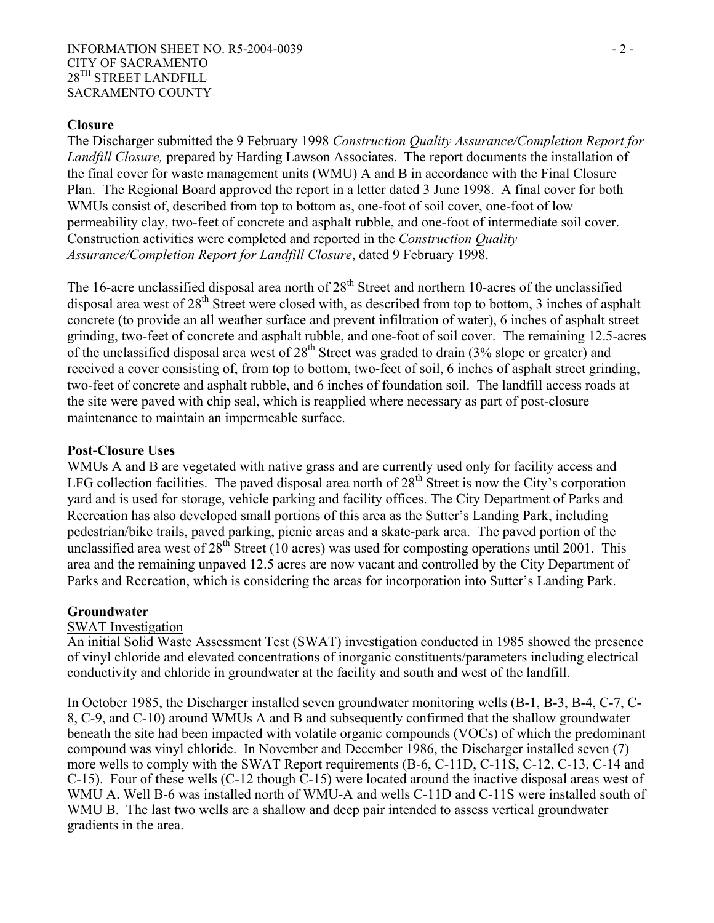#### INFORMATION SHEET NO. R5-2004-0039 - 2 -CITY OF SACRAMENTO 28TH STREET LANDFILL SACRAMENTO COUNTY

### **Closure**

The Discharger submitted the 9 February 1998 *Construction Quality Assurance/Completion Report for Landfill Closure,* prepared by Harding Lawson Associates. The report documents the installation of the final cover for waste management units (WMU) A and B in accordance with the Final Closure Plan. The Regional Board approved the report in a letter dated 3 June 1998. A final cover for both WMUs consist of, described from top to bottom as, one-foot of soil cover, one-foot of low permeability clay, two-feet of concrete and asphalt rubble, and one-foot of intermediate soil cover. Construction activities were completed and reported in the *Construction Quality Assurance/Completion Report for Landfill Closure*, dated 9 February 1998.

The 16-acre unclassified disposal area north of  $28<sup>th</sup>$  Street and northern 10-acres of the unclassified disposal area west of 28<sup>th</sup> Street were closed with, as described from top to bottom, 3 inches of asphalt concrete (to provide an all weather surface and prevent infiltration of water), 6 inches of asphalt street grinding, two-feet of concrete and asphalt rubble, and one-foot of soil cover. The remaining 12.5-acres of the unclassified disposal area west of  $28<sup>th</sup>$  Street was graded to drain (3% slope or greater) and received a cover consisting of, from top to bottom, two-feet of soil, 6 inches of asphalt street grinding, two-feet of concrete and asphalt rubble, and 6 inches of foundation soil. The landfill access roads at the site were paved with chip seal, which is reapplied where necessary as part of post-closure maintenance to maintain an impermeable surface.

#### **Post-Closure Uses**

WMUs A and B are vegetated with native grass and are currently used only for facility access and LFG collection facilities. The paved disposal area north of  $28<sup>th</sup>$  Street is now the City's corporation yard and is used for storage, vehicle parking and facility offices. The City Department of Parks and Recreation has also developed small portions of this area as the Sutter's Landing Park, including pedestrian/bike trails, paved parking, picnic areas and a skate-park area. The paved portion of the unclassified area west of 28<sup>th</sup> Street (10 acres) was used for composting operations until 2001. This area and the remaining unpaved 12.5 acres are now vacant and controlled by the City Department of Parks and Recreation, which is considering the areas for incorporation into Sutter's Landing Park.

#### **Groundwater**

#### SWAT Investigation

An initial Solid Waste Assessment Test (SWAT) investigation conducted in 1985 showed the presence of vinyl chloride and elevated concentrations of inorganic constituents/parameters including electrical conductivity and chloride in groundwater at the facility and south and west of the landfill.

In October 1985, the Discharger installed seven groundwater monitoring wells (B-1, B-3, B-4, C-7, C-8, C-9, and C-10) around WMUs A and B and subsequently confirmed that the shallow groundwater beneath the site had been impacted with volatile organic compounds (VOCs) of which the predominant compound was vinyl chloride. In November and December 1986, the Discharger installed seven (7) more wells to comply with the SWAT Report requirements (B-6, C-11D, C-11S, C-12, C-13, C-14 and C-15). Four of these wells (C-12 though C-15) were located around the inactive disposal areas west of WMU A. Well B-6 was installed north of WMU-A and wells C-11D and C-11S were installed south of WMU B. The last two wells are a shallow and deep pair intended to assess vertical groundwater gradients in the area.